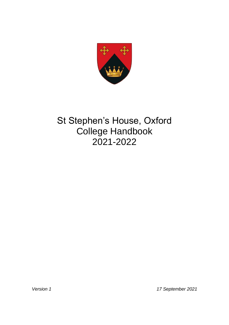

# St Stephen's House, Oxford College Handbook 2021-2022

*Version 1 17 September 2021*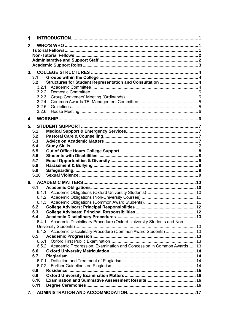| 1.             |                                                                      |  |
|----------------|----------------------------------------------------------------------|--|
| 2.             |                                                                      |  |
|                |                                                                      |  |
|                |                                                                      |  |
|                |                                                                      |  |
|                |                                                                      |  |
| 3.             |                                                                      |  |
| 3.1            |                                                                      |  |
| 3.2            | Structures for Student Representation and Consultation  4            |  |
| 3.2.1          |                                                                      |  |
| 3.2.2          |                                                                      |  |
| 3.2.3          |                                                                      |  |
| 3.2.4          |                                                                      |  |
| 3.2.5          |                                                                      |  |
| 3.2.6          |                                                                      |  |
| 4.             |                                                                      |  |
|                |                                                                      |  |
| 5.             |                                                                      |  |
| 5.1            |                                                                      |  |
| 5.2            |                                                                      |  |
| 5.3            |                                                                      |  |
| 5.4            |                                                                      |  |
| 5.5            |                                                                      |  |
| 5.6            |                                                                      |  |
| 5.7<br>5.8     |                                                                      |  |
| 5.9            |                                                                      |  |
| 5.10           |                                                                      |  |
|                |                                                                      |  |
|                |                                                                      |  |
| 6.1            |                                                                      |  |
| 6.1.1          |                                                                      |  |
| 6.1.2<br>6.1.3 |                                                                      |  |
| 6.2            |                                                                      |  |
| 6.3            |                                                                      |  |
| 6.4            |                                                                      |  |
| 6.4.1          | Academic Disciplinary Procedure (Oxford University Students and Non- |  |
|                |                                                                      |  |
|                | 6.4.2 Academic Disciplinary Procedure (Common Award Students)  13    |  |
| 6.5            |                                                                      |  |
| 6.5.1          |                                                                      |  |
| 6.5.2          | Academic Progression, Examination and Concession in Common Awards 13 |  |
| 6.6            |                                                                      |  |
| 6.7            |                                                                      |  |
| 6.7.1          |                                                                      |  |
| 6.7.2          |                                                                      |  |
| 6.8            |                                                                      |  |
| 6.9            |                                                                      |  |
| 6.10           |                                                                      |  |
| 6.11           |                                                                      |  |
|                |                                                                      |  |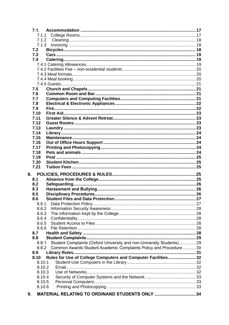| 7.1.   |                                                                       |  |
|--------|-----------------------------------------------------------------------|--|
| 7.1.1  |                                                                       |  |
| 7.1.2  |                                                                       |  |
| 7.1.3  |                                                                       |  |
| 7.2    |                                                                       |  |
| 7.3    |                                                                       |  |
| 7.4    |                                                                       |  |
|        |                                                                       |  |
|        |                                                                       |  |
|        |                                                                       |  |
|        |                                                                       |  |
|        |                                                                       |  |
| 7.5    |                                                                       |  |
| 7.6    |                                                                       |  |
| 7.7    |                                                                       |  |
| 7.8    |                                                                       |  |
| 7.9    |                                                                       |  |
| 7.10   |                                                                       |  |
| 7.11   |                                                                       |  |
| 7.12   |                                                                       |  |
| 7.13   |                                                                       |  |
| 7.14   |                                                                       |  |
| 7.15   |                                                                       |  |
| 7.16   |                                                                       |  |
| 7.17   |                                                                       |  |
| 7.18   |                                                                       |  |
| 7.19   |                                                                       |  |
| 7.20   |                                                                       |  |
| 7.21   |                                                                       |  |
| 8.     |                                                                       |  |
| 8.1    |                                                                       |  |
| 8.2    |                                                                       |  |
| 8.3    |                                                                       |  |
| 8.5    |                                                                       |  |
| 8.6    |                                                                       |  |
| 8.6.1  |                                                                       |  |
| 8.6.2  |                                                                       |  |
| 8.6.3  |                                                                       |  |
| 8.6.4  |                                                                       |  |
| 8.6.5  |                                                                       |  |
| 8.6.6  |                                                                       |  |
| 8.7    |                                                                       |  |
| 8.8    |                                                                       |  |
| 8.8.1  | Student Complaints (Oxford University and non-University Students) 29 |  |
| 8.8.2  | Common Awards Student Academic Complaints Policy and Procedure30      |  |
| 8.9    |                                                                       |  |
| 8.10   | Rules for Use of College Computers and Computer Facilities 32         |  |
| 8.10.1 |                                                                       |  |
| 8.10.2 |                                                                       |  |
| 8.10.3 |                                                                       |  |
| 8.10.4 |                                                                       |  |
| 8.10.5 |                                                                       |  |
| 8.10.6 |                                                                       |  |
|        |                                                                       |  |
| 9.     | MATERIAL RELATING TO ORDINAND STUDENTS ONLY 34                        |  |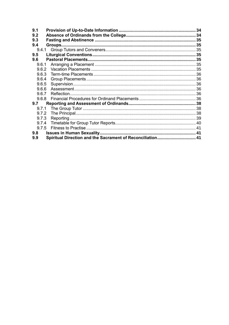| 9.1   |                                                            |  |
|-------|------------------------------------------------------------|--|
| 9.2   |                                                            |  |
| 9.3   |                                                            |  |
| 9.4   |                                                            |  |
|       |                                                            |  |
| 9.5   |                                                            |  |
| 9.6   |                                                            |  |
| 9.6.1 |                                                            |  |
| 9.6.2 |                                                            |  |
| 9.6.3 |                                                            |  |
| 9.6.4 |                                                            |  |
| 9.6.5 |                                                            |  |
| 9.6.6 |                                                            |  |
| 9.6.7 |                                                            |  |
| 9.6.8 |                                                            |  |
| 9.7   |                                                            |  |
| 9.7.1 |                                                            |  |
| 9.7.2 |                                                            |  |
| 9.7.3 |                                                            |  |
| 9.7.4 |                                                            |  |
| 9.7.5 |                                                            |  |
| 9.8   |                                                            |  |
| 9.9   | Spiritual Direction and the Sacrament of Reconciliation 41 |  |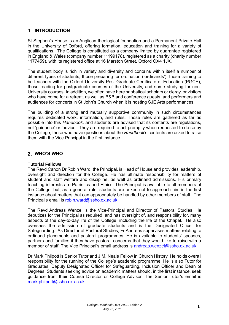# <span id="page-4-0"></span>**1. INTRODUCTION**

St Stephen's House is an Anglican theological foundation and a Permanent Private Hall in the University of Oxford, offering formation, education and training for a variety of qualifications. The College is constituted as a company limited by guarantee registered in England & Wales (company number 11199178), registered as a charity (charity number 1177459), with its registered office at 16 Marston Street, Oxford OX4 1JX.

The student body is rich in variety and diversity and contains within itself a number of different types of students; those preparing for ordination ('ordinands'), those training to be teachers with the Oxford University Post-Graduate Certificate of Education (PGCE), those reading for postgraduate courses of the University, and some studying for non-University courses. In addition, we often have here sabbatical scholars or clergy, or visitors who have come for a retreat, as well as B&B and conference guests, and performers and audiences for concerts in St John's Church when it is hosting SJE Arts performances.

The building of a strong and mutually supportive community in such circumstances requires dedicated work, information, and rules. Those rules are gathered as far as possible into this *Handbook*, and students are advised that its contents are regulations, not 'guidance' or 'advice'. They are required to act promptly when requested to do so by the College; those who have questions about the *Handbook*'s contents are asked to raise them with the Vice Principal in the first instance.

# <span id="page-4-1"></span>**WHO'S WHO**

## <span id="page-4-2"></span>**Tutorial Fellows**

The Revd Canon Dr Robin Ward, the Principal, is Head of House and provides leadership, oversight and direction for the College. He has ultimate responsibility for matters of student and staff welfare and discipline, as well as ordinand admissions. His primary teaching interests are Patristics and Ethics. The Principal is available to all members of the College; but, as a general rule, students are asked not to approach him in the first instance about matters that can appropriately be handled by other members of staff. The Principal's email is [robin.ward@ssho.ox.ac.uk](mailto:robin.ward@ssho.ox.ac.uk)

The Revd Andreas Wenzel is the Vice-Principal and Director of Pastoral Studies. He deputizes for the Principal as required, and has oversight of, and responsibility for, many aspects of the day-to-day life of the College, including the life of the Chapel. He also oversees the admission of graduate students and is the Designated Officer for Safeguarding. As Director of Pastoral Studies, Fr Andreas supervises matters relating to ordinand placements and pastoral programmes. He is available to students' spouses, partners and families if they have pastoral concerns that they would like to raise with a member of staff. The Vice Principal's email address is [andreas.wenzel@ssho.ox.ac.uk](mailto:andreas.wenzel@ssho.ox.ac.uk)

Dr Mark Philpott is Senior Tutor and J.M. Neale Fellow in Church History. He holds overall responsibility for the running of the College's academic programme. He is also Tutor for Graduates, Deputy Designated Officer for Safeguarding, Inclusion Officer and Dean of Degrees. Students seeking advice on academic matters should, in the first instance, seek guidance from their Course Director or College Advisor. The Senior Tutor's email is [mark.philpott@ssho.ox.ac.uk](mailto:mark.philpott@ssho.ox.ac.uk)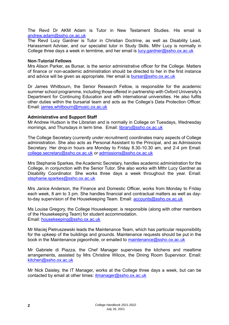The Revd Dr AKM Adam is Tutor in New Testament Studies. His email is [andrew.adam@ssho.ox.ac.uk](mailto:andrew.adam@ssho.ox.ac.uk)

The Revd Lucy Gardner is Tutor in Christian Doctrine, as well as Disability Lead, Harassment Adviser, and our specialist tutor in Study Skills. Mthr Lucy is normally in College three days a week in termtime, and her email is [lucy.gardner@ssho.ox.ac.uk](mailto:lucy.gardner@ssho.ox.ac.uk)

#### <span id="page-5-0"></span>**Non-Tutorial Fellows**

Mrs Alison Parker, as Bursar, is the senior administrative officer for the College. Matters of finance or non-academic administration should be directed to her in the first instance and advice will be given as appropriate. Her email is **bursar@ssho.ox.ac.uk** 

Dr James Whitbourn, the Senior Research Fellow, is responsible for the academic summer school programme, including those offered in partnership with Oxford University's Department for Continuing Education and with international universities. He also fulfils other duties within the bursarial team and acts as the College's Data Protection Officer. Email: [james.whitbourn@music.ox.ac.uk](mailto:james.whitbourn@music.ox.ac.uk)

#### <span id="page-5-1"></span>**Administrative and Support Staff**

Mr Andrew Hudson is the Librarian and is normally in College on Tuesdays, Wednesday mornings, and Thursdays in term time. Email: [library@ssho.ox.ac.uk](mailto:library@ssho.ox.ac.uk)

The College Secretary (*currently under recruitment)* coordinates many aspects of College administration. She also acts as Personal Assistant to the Principal, and as Admissions Secretary. Her drop-in hours are Monday to Friday 8.30-10.30 am, and 2-4 pm Email: [college.secretary@ssho.ox.ac.uk](mailto:college.secretary@ssho.ox.ac.uk) *or* admissions@ssho.ox.ac.uk

Mrs Stephanie Sparkes, the Academic Secretary, handles academic administration for the College, in conjunction with the Senior Tutor. She also works with Mthr Lucy Gardner as Disability Coordinator. She works three days a week throughout the year. Email: [stephanie.sparkes@ssho.ox.ac.uk](mailto:stephanie.sparkes@ssho.ox.ac.uk)

Mrs Janice Anderson, the Finance and Domestic Officer, works from Monday to Friday each week, 8 am to 3 pm. She handles financial and contractual matters as well as dayto-day supervision of the Housekeeping Team. Email: [accounts@ssho.ox.ac.uk](mailto:accounts@ssho.ox.ac.uk)

Ms Louise Gregory, the College Housekeeper, is responsible (along with other members of the Housekeeping Team) for student accommodation. Email: [housekeeping@ssho.ox.ac.uk](mailto:housekeeping@ssho.ox.ac.uk)

Mr Maciej Pietruszewski leads the Maintenance Team, which has particular responsibility for the upkeep of the buildings and grounds. Maintenance requests should be put in the book in the Maintenance pigeonhole, or emailed to [maintenance@ssho.ox.ac.uk](mailto:maintenance@ssho.ox.ac.uk)

Mr Gabriele di Piazza, the Chef Manager supervises the kitchens and mealtime arrangements, assisted by Mrs Christine Wilcox, the Dining Room Supervisor. Email: [kitchen@ssho.ox.ac.uk](mailto:kitchen@ssho.ox.ac.uk)

Mr Nick Daisley, the IT Manager, works at the College three days a week, but can be contacted by email at other times: [itmanager@ssho.ox.ac.uk](mailto:itmanager@ssho.ox.ac.uk)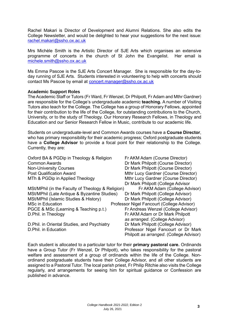Rachel Makari is Director of Development and Alumni Relations. She also edits the College Newsletter, and would be delighted to hear your suggestions for the next issue: [rachel.makari@ssho.ox.ac.uk](mailto:Rachel.makari@ssho.ox.ac.uk) 

Mrs Michèle Smith is the Artistic Director of SJE Arts which organises an extensive programme of concerts in the church of St John the Evangelist. Her email is [michele.smith@ssho.ox.ac.uk](mailto:michele.smith@ssho.ox.ac.uk)

Ms Emma Pascoe is the SJE Arts Concert Manager. She is responsible for the day-today running of SJE Arts. Students interested in volunteering to help with concerts should contact Ms Pascoe by email at concert.manager@ssho.ox.ac.uk

#### <span id="page-6-0"></span>**Academic Support Roles**

The Academic Staff or Tutors (Fr Ward, Fr Wenzel, Dr Philpott, Fr Adam and Mthr Gardner) are responsible for the College's undergraduate academic **teaching.** A number of Visiting Tutors also teach for the College. The College has a group of Honorary Fellows, appointed for their contribution to the life of the College, for outstanding contributions to the Church, University, or to the study of Theology. Our Honorary Research Fellows, in Theology and Education and our Senior Research Fellow in Music, contribute to our academic life.

Students on undergraduate-level and Common Awards courses have a **Course Director**, who has primary responsibility for their academic progress; Oxford postgraduate students have a **College Advisor** to provide a focal point for their relationship to the College. Currently, they are:

Oxford BA & PGDip in Theology & Religion Fr AKM Adam (Course Director) Common Awards **Dr Mark Philpott (Course Director)** Non-University Courses **Dream Courses** Dr Mark Philpott (Course Director) Post Qualification Award Mthr Lucy Gardner (Course Director) MTh & PGDip in Applied Theology Mthr Lucy Gardner (Course Director) Dr Mark Philpott (College Advisor MSt/MPhil (in the Faculty of Theology & Religion) Fr AKM Adam (College Advisor) MSt/MPhil (Late Antique & Byzantine Studies) Dr Mark Philpott (College Advisor) MSt/MPhil (Islamic Studies & History) Dr Mark Philpott (College Advisor) MSc in Education **Professor Nigel Fancourt (College Advisor)** PGCE & MSc (Learning & Teaching p.t.) Fr Andreas Wenzel (College Advisor) D.Phil. in Theology **Example 20** Fr AKM Adam or Dr Mark Philpott *as arranged*. (College Advisor) D.Phil. in Oriental Studies, and Psychiatry Dr Mark Philpott (College Advisor) D.Phil. in Education **Professor Nigel Fancourt or Dr Mark** Philpott *as arranged*. (College Advisor)

Each student is allocated to a particular tutor for their **primary pastoral care.** Ordinands have a Group Tutor (Fr Wenzel, Dr Philpott), who takes responsibility for the pastoral welfare and assessment of a group of ordinands within the life of the College. Nonordinand postgraduate students have their College Advisor, and all other students are assigned to a Pastoral Tutor. The local parish priest, Fr Philip Ritchie also visits the College regularly, and arrangements for seeing him for spiritual guidance or Confession are published in advance.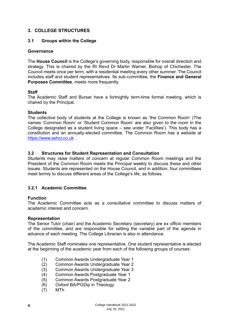## <span id="page-7-0"></span>**3. COLLEGE STRUCTURES**

#### <span id="page-7-1"></span>**3.1 Groups within the College**

#### **Governance**

The **House Council** is the College's governing body, responsible for overall direction and strategy. This is chaired by the Rt Revd Dr Martin Warner, Bishop of Chichester. The Council meets once per term, with a residential meeting every other summer. The Council includes staff and student representatives. Its sub-committee, the **Finance and General Purposes Committee**, meets more frequently.

#### **Staff**

The Academic Staff and Bursar have a fortnightly term-time formal meeting, which is chaired by the Principal.

#### **Students**

The collective body of students at the College is known as 'the Common Room' (The names 'Common Room' or 'Student Common Room' are also given to the room in the College designated as a student living space – see under 'Facilities'). This body has a constitution and an annually-elected committee. The Common Room has a website at [https://www.sshcr.co.uk](https://www.sshcr.co.uk/).

#### <span id="page-7-2"></span>**3.2 Structures for Student Representation and Consultation**

Students may raise matters of concern at regular Common Room meetings and the President of the Common Room meets the Principal weekly to discuss these and other issues. Students are represented on the House Council, and in addition, four committees meet termly to discuss different areas of the College's life, as follows.

#### <span id="page-7-3"></span>**3.2.1 Academic Committee**

#### **Function**

The Academic Committee acts as a consultative committee to discuss matters of academic interest and concern.

#### **Representation**

The Senior Tutor (chair) and the Academic Secretary (secretary) are *ex officio* members of the committee, and are responsible for setting the variable part of the agenda in advance of each meeting. The College Librarian is also in attendance.

The Academic Staff nominates one representative. One student representative is elected at the beginning of the academic year from each of the following groups of courses:

- (1) Common Awards Undergraduate Year 1
- (2) Common Awards Undergraduate Year 2
- (3) Common Awards Undergraduate Year 3
- (4) Common Awards Postgraduate Year 1
- (5) Common Awards Postgraduate Year 2
- (6) Oxford BA/PGDip in Theology
- (7) MTh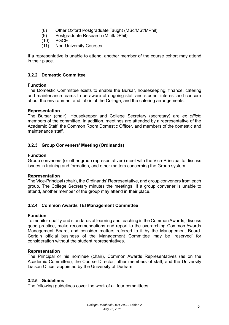- (8) Other Oxford Postgraduate Taught (MSc/MSt/MPhil)
- (9) Postgraduate Research (MLitt/DPhil)
- **PGCE**
- (11) Non-University Courses

If a representative is unable to attend, another member of the course cohort may attend in their place.

## <span id="page-8-0"></span>**3.2.2 Domestic Committee**

#### **Function**

The Domestic Committee exists to enable the Bursar, housekeeping, finance, catering and maintenance teams to be aware of ongoing staff and student interest and concern about the environment and fabric of the College, and the catering arrangements.

#### **Representation**

The Bursar (chair), Housekeeper and College Secretary (secretary) are *ex officio* members of the committee. In addition, meetings are attended by a representative of the Academic Staff, the Common Room Domestic Officer, and members of the domestic and maintenance staff.

## <span id="page-8-1"></span>**3.2.3 Group Conveners' Meeting (Ordinands)**

#### **Function**

Group conveners (or other group representatives) meet with the Vice-Principal to discuss issues in training and formation, and other matters concerning the Group system.

#### **Representation**

The Vice-Principal (chair), the Ordinands' Representative, and group conveners from each group. The College Secretary minutes the meetings. If a group convener is unable to attend, another member of the group may attend in their place.

## <span id="page-8-2"></span>**3.2.4 Common Awards TEI Management Committee**

#### **Function**

To monitor quality and standards of learning and teaching in the Common Awards, discuss good practice, make recommendations and report to the overarching Common Awards Management Board, and consider matters referred to it by the Management Board. Certain official business of the Management Committee may be 'reserved' for consideration without the student representatives.

#### **Representation**

The Principal or his nominee (chair), Common Awards Representatives (as on the Academic Committee), the Course Director, other members of staff, and the University Liaison Officer appointed by the University of Durham.

#### <span id="page-8-3"></span>**3.2.5 Guidelines**

The following guidelines cover the work of all four committees: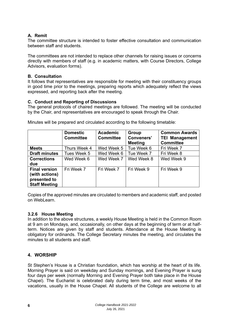## **A. Remit**

The committee structure is intended to foster effective consultation and communication between staff and students.

The committees are not intended to replace other channels for raising issues or concerns directly with members of staff (e.g. in academic matters, with Course Directors, College Advisors, evaluation forms).

## **B. Consultation**

It follows that representatives are responsible for meeting with their constituency groups in good time prior to the meetings, preparing reports which adequately reflect the views expressed, and reporting back after the meeting.

#### **C. Conduct and Reporting of Discussions**

The general protocols of chaired meetings are followed. The meeting will be conducted by the Chair, and representatives are encouraged to speak through the Chair.

|                                                                                | <b>Domestic</b><br><b>Committee</b> | <b>Academic</b><br><b>Committee</b> | Group<br><b>Conveners'</b><br><b>Meeting</b> | <b>Common Awards</b><br><b>TEI Management</b><br><b>Committee</b> |
|--------------------------------------------------------------------------------|-------------------------------------|-------------------------------------|----------------------------------------------|-------------------------------------------------------------------|
| <b>Meets</b>                                                                   | Thurs Week 4                        | Wed Week 5                          | Tue Week 6                                   | Fri Week 7                                                        |
| <b>Draft minutes</b>                                                           | Tues Week 5                         | Wed Week 6                          | Tue Week 7                                   | Fri Week 8                                                        |
| <b>Corrections</b><br>due                                                      | Wed Week 6                          | Wed Week 7                          | Wed Week 8                                   | Wed Week 9                                                        |
| <b>Final version</b><br>(with actions)<br>presented to<br><b>Staff Meeting</b> | Fri Week 7                          | Fri Week 7                          | Fri Week 9                                   | Fri Week 9                                                        |

Minutes will be prepared and circulated according to the following timetable:

Copies of the approved minutes are circulated to members and academic staff, and posted on WebLearn.

#### <span id="page-9-0"></span>**3.2.6 House Meeting**

In addition to the above structures, a weekly House Meeting is held in the Common Room at 9 am on Mondays, and, occasionally, on other days at the beginning of term or at halfterm. Notices are given by staff and students. Attendance at the House Meeting is obligatory for ordinands. The College Secretary minutes the meeting, and circulates the minutes to all students and staff.

## <span id="page-9-1"></span>**4. WORSHIP**

St Stephen's House is a Christian foundation, which has worship at the heart of its life. Morning Prayer is said on weekday and Sunday mornings, and Evening Prayer is sung four days per week (normally Morning and Evening Prayer both take place in the House Chapel). The Eucharist is celebrated daily during term time, and most weeks of the vacations, usually in the House Chapel. All students of the College are welcome to all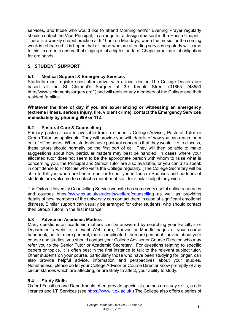services, and those who would like to attend Morning and/or Evening Prayer regularly should contact the Vice-Principal, to arrange for a designated seat in the House Chapel. There is a weekly chapel practice at 9.10am on Mondays, when the music for the coming week is rehearsed. It is hoped that all those who are attending services regularly will come to this, in order to ensure that singing is of a high standard. Chapel practice is of obligation for ordinands.

# <span id="page-10-0"></span>**5. STUDENT SUPPORT**

## <span id="page-10-1"></span>**5.1 Medical Support & Emergency Services**

Students must register soon after arrival with a local doctor. The College Doctors are based at the St Clement's Surgery at 39 Temple Street (01865 248550 http://www.stclementssurgery.org/ ) and will register any members of the College and their resident families.

**Whatever the time of day if you are experiencing or witnessing an emergency (extreme illness, serious injury, fire, violent crime), contact the Emergency Services immediately by phoning 999 or 112**.

## <span id="page-10-2"></span>**5.2 Pastoral Care & Counselling**

Primary pastoral care is available from a student's College Advisor, Pastoral Tutor or Group Tutor, as applicable. They will provide you with details of how you can reach them out of office hours. When students have pastoral concerns that they would like to discuss, these tutors should normally be the first port of call. They will then be able to make suggestions about how particular matters may best be handled. In cases where your allocated tutor does not seem to be the appropriate person with whom to raise what is concerning you, the Principal and Senior Tutor are also available, or you can also speak in confidence to Fr Ritchie who visits the College regularly. (The College Secretary will be able to tell you when next he is due, or to put you in touch.) Spouses and partners of students are welcome to contact a member of staff for similar help if they wish.

The Oxford University Counselling Service website has some very useful online resources and courses <https://www.ox.ac.uk/students/welfare/counselling> as well as providing details of how members of the university can contact them in case of significant emotional distress. Similar support can usually be arranged for other students, who should contact their Group Tutors in the first instance

## <span id="page-10-3"></span>**5.3 Advice on Academic Matters**

Many questions on academic matters can be answered by searching your Faculty's or Department's website, relevant WebLearn, Canvas or Moodle pages or your course handbook, but for more general, more complicated - or more personal - advice about your course and studies, you should contact your College Advisor or Course Director, who may refer you to the Senior Tutor or Academic Secretary. For questions relating to specific papers or topics, it is often best in the first instance to talk to the relevant subject tutor. Other students on your course, particularly those who have been studying for longer, can also provide helpful advice, information and perspectives about your studies. Nonetheless, please do let your College Advisor or Course Director know promptly of any circumstances which are affecting, or are likely to affect, your ability to study.

## <span id="page-10-4"></span>**5.4 Study Skills**

Oxford Faculties and Departments often provide specialist courses on study skills, as do libraries and I.T. Services (see [https://www.it.ox.ac.uk](https://www.it.ox.ac.uk/)) The College also offers a series of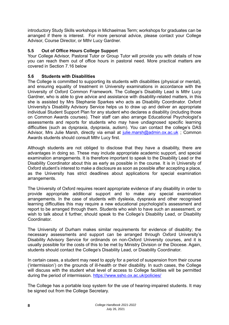introductory Study Skills workshops in Michaelmas Term; workshops for graduates can be arranged if there is interest. For more personal advice, please contact your College Advisor, Course Director, or Mthr Lucy Gardner.

# <span id="page-11-0"></span>**5.5 Out of Office Hours College Support**

Your College Advisor, Pastoral Tutor or Group Tutor will provide you with details of how you can reach them out of office hours in pastoral need. More practical matters are covered in Section 7.16 below

## <span id="page-11-1"></span>**5.6 Students with Disabilities**

The College is committed to supporting its students with disabilities (physical or mental), and ensuring equality of treatment in University examinations in accordance with the University of Oxford Common Framework. The College's Disability Lead is Mthr Lucy Gardner, who is able to give advice and assistance with disability-related matters, in this she is assisted by Mrs Stephanie Sparkes who acts as Disability Coordinator. Oxford University's Disability Advisory Service helps us to draw up and deliver an appropriate individual Student Support Plan for any student who declares a disability (including those on Common Awards courses). Their staff can also arrange Educational Psychologist's assessments and reports for students who may have undiagnosed specific learning difficulties (such as dyspraxia, dyspraxia, autism). You can contact the college's DAS Advisor, Mrs Julie Marsh, directly via email at [julie.marsh@admin.ox.ac.uk](mailto:julie.marsh@admin.ox.ac.uk); Common Awards students should consult Mthr Lucy first.

Although students are not obliged to disclose that they have a disability, there are advantages in doing so. These may include appropriate academic support, and special examination arrangements. It is therefore important to speak to the Disability Lead or the Disability Coordinator about this as early as possible in the course. It is in University of Oxford student's interest to make a disclosure as soon as possible after accepting a place, as the University has strict deadlines about applications for special examination arrangements.

The University of Oxford requires recent appropriate evidence of any disability in order to provide appropriate additional support and to make any special examination arrangements. In the case of students with dyslexia, dyspraxia and other recognised learning difficulties this may require a new educational psychologist's assessment and report to be arranged through them. Students who wish to have such an assessment, or wish to talk about it further, should speak to the College's Disability Lead, or Disability Coordinator.

The University of Durham makes similar requirements for evidence of disability; the necessary assessments and support can be arranged through Oxford University's Disability Advisory Service for ordinands on non-Oxford University courses, and it is usually possible for the costs of this to be met by Ministry Division or the Diocese. Again, students should contact the College's Disability Lead, or Disability Coordinator.

In certain cases, a student may need to apply for a period of suspension from their course ('intermission') on the grounds of ill-health or their disability. In such cases, the College will discuss with the student what level of access to College facilities will be permitted during the period of intermission. <https://www.ssho.ox.ac.uk/policies/>

The College has a portable loop system for the use of hearing-impaired students. It may be signed out from the College Secretary.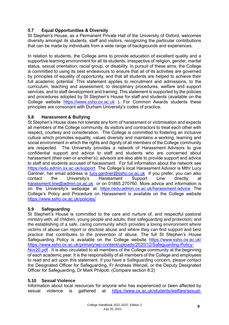# <span id="page-12-0"></span>**5.7 Equal Opportunities & Diversity**

St Stephen's House, as a Permanent Private Hall of the University of Oxford, welcomes diversity amongst its students, staff and visitors, recognizing the particular contributions that can be made by individuals from a wide range of backgrounds and experiences.

In relation to students, the College aims to provide education of excellent quality and a supportive learning environment for all its students, irrespective of religion, gender, marital status, sexual orientation, racial group, or disability. In pursuit of these aims, the College is committed to using its best endeavours to ensure that all of its activities are governed by principles of equality of opportunity, and that all students are helped to achieve their full academic potential. This statement applies to recruitment and admissions, to the curriculum, teaching and assessment, to disciplinary procedures, welfare and support services, and to staff development and training. This statement is supported by the policies and procedures adopted by St Stephen's House for staff and students (available on the College website [https://www.ssho.ox.ac.uk](https://www.ssho.ox.ac.uk/) ). For Common Awards students these principles are consonant with Durham University's codes of practice.

## <span id="page-12-1"></span>**5.8 Harassment & Bullying**

St Stephen's House does not tolerate any form of harassment or victimisation and expects all members of the College community, its visitors and contractors to treat each other with respect, courtesy and consideration. The College is committed to fostering an inclusive culture which promotes equality, values diversity and maintains a working, learning and social environment in which the rights and dignity of all members of the College community are respected. The University provides a network of Harassment Advisors to give confidential support and advice to staff and students who are concerned about harassment (their own or another's); advisors are also able to provide support and advice to staff and students accused of harassment. For full information about the network see <https://edu.admin.ox.ac.uk/support> The College's local Harassment Advisor is Mthr Lucy Gardner; her email address is [lucy.gardner@ssho.ox.ac.uk](mailto:lucy.gardner@ssho.ox.ac.uk) If you prefer, you can also contact the University's Harassment Support Line directly at [harassment.line@admin.ox.ac.uk](mailto:harassment.line@admin.ox.ac.uk) or on 01865 270760. More advice and information is on the University's webpage at <https://edu.admin.ox.ac.uk/harassment-advice> The College's Policy and Procedure on Harassment is available on the College website <https://www.ssho.ox.ac.uk/policies/>

# <span id="page-12-2"></span>**5.9 Safeguarding**

St Stephen's House is committed to the care and nurture of, and respectful pastoral ministry with, all children, young people and adults; their safeguarding and protection; and the establishing of a safe, caring community which provides a loving environment where victims of abuse can report or disclose abuse and where they can find support and best practice that contributes to the prevention of abuse. The full St Stephen's House Safeguarding Policy is available on the College website <https://www.ssho.ox.ac.uk/> [https://www.ssho.ox.ac.uk/primary/wp-content/uploads/2020/12/Safeguarding-Policy-](https://www.ssho.ox.ac.uk/primary/wp-content/uploads/2020/12/Safeguarding-Policy-Nov20.pdf)[Nov20.pdf](https://www.ssho.ox.ac.uk/primary/wp-content/uploads/2020/12/Safeguarding-Policy-Nov20.pdf) . It is also circulated to all members of the College community at the beginning of each academic year. It is the responsibility of all members of the College and employees to read and act upon this statement. If you have a Safeguarding concern, please contact the Designated Officer for Safeguarding, Fr Andreas Wenzel, or the Deputy Designated Officer for Safeguarding, Dr Mark Philpott. (Compare section 8.2)

# <span id="page-12-3"></span>**5.10 Sexual Violence**

Information about local resources for anyone who has experienced or been affected by sexual violence is gathered at [https://www.ox.ac.uk/students/welfare/sexual-](https://www.ox.ac.uk/students/welfare/sexual-violence?wssl=1)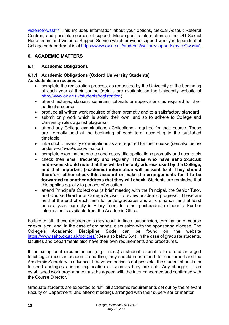[violence?wssl=1](https://www.ox.ac.uk/students/welfare/sexual-violence?wssl=1) This includes information about your options, Sexual Assault Referral Centres, and possible sources of support. More specific information on the OU Sexual Harassment and Violence Support Service which provides support wholly independent of College or department is at<https://www.ox.ac.uk/students/welfare/supportservice?wssl=1>

# <span id="page-13-0"></span>**6. ACADEMIC MATTERS**

# <span id="page-13-1"></span>**6.1 Academic Obligations**

# <span id="page-13-2"></span>**6.1.1 Academic Obligations (Oxford University Students)**

**All** students are required to:

- complete the registration process, as requested by the University at the beginning of each year of their course (details are available on the University website at [http://www.ox.ac.uk/students/registration\)](http://www.ox.ac.uk/students/registration)
- attend lectures, classes, seminars, tutorials or supervisions as required for their particular course
- produce all written work required of them promptly and to a satisfactory standard
- submit only work which is solely their own, and so to adhere to College and University rules against plagiarism
- attend any College examinations ('Collections') required for their course. These are normally held at the beginning of each term according to the published timetable.
- take such University examinations as are required for their course (see also below under *First Public Examination*)
- complete examination entries and essay title applications promptly and accurately
- check their email frequently and regularly. **Those who have ssho.ox.ac.uk addresses should note that this will be the only address used by the College, and that important (academic) information will be sent to it. They should therefore either check this account or make the arrangements for it to be forwarded to another address that they will check.** Students are reminded that this applies equally to periods of vacation.
- attend Principal's Collections (a brief meeting with the Principal, the Senior Tutor, and Course Director or College Advisor to review academic progress). These are held at the end of each term for undergraduates and all ordinands, and at least once a year, normally in Hilary Term, for other postgraduate students. Further information is available from the Academic Office.

Failure to fulfil these requirements may result in fines, suspension, termination of course or expulsion, and, in the case of ordinands, discussion with the sponsoring diocese. The College's **Academic Discipline Code** can be found on the website <https://www.ssho.ox.ac.uk/policies/> (See also below 6.4). In the case of graduate students, faculties and departments also have their own requirements and procedures.

If for exceptional circumstances (e.g. illness) a student is unable to attend arranged teaching or meet an academic deadline, they should inform the tutor concerned and the Academic Secretary in advance. If advance notice is not possible, the student should aim to send apologies and an explanation as soon as they are able. Any changes to an established work programme must be agreed with the tutor concerned and confirmed with the Course Director.

Graduate students are expected to fulfil all academic requirements set out by the relevant Faculty or Department, and attend meetings arranged with their supervisor or mentor.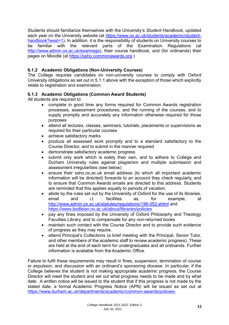Students should familiarize themselves with the University's *Student Handbook*, updated each year on the University website (at [https://www.ox.ac.uk/students/academic/student](https://www.ox.ac.uk/students/academic/student-handbook?wssl=1)[handbook?wssl=1\)](https://www.ox.ac.uk/students/academic/student-handbook?wssl=1). In addition, it is the responsibility of students on University courses to be familiar with the relevant parts of the Examination Regulations (at [http://www.admin.ox.ac.uk/examregs\)](http://www.admin.ox.ac.uk/examregs), their course handbook, and (for ordinands) their pages on Moodle (at https://ssho.commonawards.org )

# <span id="page-14-0"></span>**6.1.2 Academic Obligations (Non-University Courses)**

The College requires candidates on non-university courses to comply with Oxford University obligations as set out in 5.1.1 above with the exception of those which explicitly relate to registration and examination.

## <span id="page-14-1"></span>**6.1.3 Academic Obligations (Common Award Students)**

*All* students are required to:

- complete in good time any forms required for Common Awards registration processes, assessment procedures, and the running of the courses, and to supply promptly and accurately any information otherwise required for those purposes
- attend all lectures, classes, seminars, tutorials, placements or supervisions as required for their particular courses
- achieve satisfactory marks
- produce all assessed work promptly and to a standard satisfactory to the Course Director, and to submit in the manner required
- demonstrate satisfactory academic progress
- submit only work which is solely their own, and to adhere to College and Durham University rules against plagiarism and multiple submission and assessment irregularities (see below)
- ensure their ssho.ox.ac.uk email address (to which all important academic information will be directed) forwards to an account they check regularly, and to ensure that Common Awards emails are directed to this address. Students are reminded that this applies equally to periods of vacation.
- abide by the rules set out by the University of Oxford for the use of its libraries, email and i.t. facilities as, for example, at <http://www.admin.ox.ac.uk/statutes/regulations/196-052.shtml> and <https://www.bodleian.ox.ac.uk/about/libraries/policies>
- pay any fines imposed by the University of Oxford Philosophy and Theology Faculties Library, and to compensate for any non-returned books
- maintain such contact with the Course Director and to provide such evidence of progress as they may require.
- attend Principal's Collections (a brief meeting with the Principal, Senior Tutor, and other members of the academic staff to review academic progress). These are held at the end of each term for undergraduates and all ordinands. Further information is available from the Academic Office.

Failure to fulfil these requirements may result in fines, suspension, termination of course or expulsion, and discussion with an ordinand's sponsoring diocese. In particular, if the College believes the student is not making appropriate academic progress, the Course Director will meet the student and set out what progress needs to be made and by what date. A written notice will be issued to the student that if this progress is not made by the stated date, a formal Academic Progress Notice (APN) will be issued as set out at [https://www.durham.ac.uk/departments/academic/common-awards/policies-](https://www.durham.ac.uk/departments/academic/common-awards/policies-processes/student-support/progress)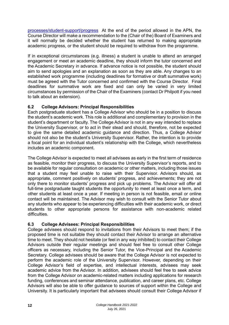[processes/student-support/progress](https://www.durham.ac.uk/departments/academic/common-awards/policies-processes/student-support/progress) At the end of the period allowed in the APN, the Course Director will make a recommendation to the (Chair of the) Board of Examiners and it will normally be decided whether the student has returned to making appropriate academic progress, or the student should be required to withdraw from the programme.

If in exceptional circumstances (e.g. illness) a student is unable to attend an arranged engagement or meet an academic deadline, they should inform the tutor concerned and the Academic Secretary in advance. If advance notice is not possible, the student should aim to send apologies and an explanation as soon as they are able. Any changes to an established work programme (including deadlines for formative or draft summative work) must be agreed with the Tutor concerned and confirmed with the Course Director. Final deadlines for summative work are fixed and can only be varied in very limited circumstances by permission of the Chair of the Examiners (contact Dr Philpott if you need to talk about an extension).

# <span id="page-15-0"></span>**6.2 College Advisors: Principal Responsibilities**

Each postgraduate student has a College Advisor who should be in a position to discuss the student's academic work. This role is additional and complementary to provision in the student's department or faculty. The College Advisor is not in any way intended to replace the University Supervisor, or to act in their stead and should, therefore, not be expected to give the same detailed academic guidance and direction. Thus, a College Advisor should not also be the student's University Supervisor. Rather, the intention is to provide a focal point for an individual student's relationship with the College, which nevertheless includes an academic component.

The College Advisor is expected to meet all advisees as early in the first term of residence as feasible, monitor their progress, to discuss the University Supervisor's reports, and to be available for regular consultation on academic or other matters, including those issues that a student may feel unable to raise with their Supervisor. Advisors should, as appropriate, comment positively on students' progress, and achievements; they are not only there to monitor students' progress and pick up problems. The Advisor will offer all full-time postgraduate taught students the opportunity to meet at least once a term, and other students at least once a year. If meeting in person is not feasible, email or online contact will be maintained. The Advisor may wish to consult with the Senior Tutor about any students who appear to be experiencing difficulties with their academic work, or direct students to other appropriate persons for assistance with non-academic related difficulties.

# <span id="page-15-1"></span>**6.3 College Advisees: Principal Responsibilities**

College advisees should respond to invitations from their Advisors to meet them; if the proposed time is not suitable they should contact their Advisor to arrange an alternative time to meet. They should not hesitate (or feel in any way inhibited) to contact their College Advisors outside their regular meetings and should feel free to consult other College officers as necessary, including the Senior Tutor, the Vice-Principal and the Academic Secretary. College advisees should be aware that the College Advisor is not expected to perform the academic role of the University Supervisor. However, depending on their College Advisor's field of expertise, and intellectual interests, advisees may seek academic advice from the Advisor. In addition, advisees should feel free to seek advice from the College Advisor on academic-related matters including applications for research funding, conferences and seminar attendance, publication, and career plans, etc. College Advisors will also be able to offer guidance to sources of support within the College and University. It is particularly important that advisees should consult their College Advisor if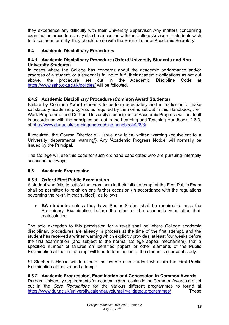they experience any difficulty with their University Supervisor. Any matters concerning examination procedures may also be discussed with the College Advisors. If students wish to raise them formally, they should do so with the Senior Tutor or Academic Secretary.

## <span id="page-16-0"></span>**6.4 Academic Disciplinary Procedures**

#### <span id="page-16-1"></span>**6.4.1 Academic Disciplinary Procedure (Oxford University Students and Non-University Students)**

In cases where the College has concerns about the academic performance and/or progress of a student, or a student is failing to fulfil their academic obligations as set out above, the procedure set out in the Academic Discipline Code at <https://www.ssho.ox.ac.uk/policies/> will be followed.

## <span id="page-16-2"></span>**6.4.2 Academic Disciplinary Procedure (Common Award Students)**

Failure by Common Award students to perform adequately and in particular to make satisfactory academic progress as required by the norms set out in this Handbook, their Work Programme and Durham University's principles for Academic Progress will be dealt in accordance with the principles set out in the Learning and Teaching Handbook, 2.6.3, at<http://www.dur.ac.uk/learningandteaching.handbook/2/6/3/>

If required, the Course Director will issue any initial written warning (equivalent to a University 'departmental warning'). Any 'Academic Progress Notice' will normally be issued by the Principal.

The College will use this code for such ordinand candidates who are pursuing internally assessed pathways.

## <span id="page-16-3"></span>**6.5 Academic Progression**

## <span id="page-16-4"></span>**6.5.1 Oxford First Public Examination**

A student who fails to satisfy the examiners in their initial attempt at the First Public Exam shall be permitted to re-sit on one further occasion (in accordance with the regulations governing the re-sit in that subject), as follows:

• **BA students:** unless they have Senior Status, shall be required to pass the Preliminary Examination before the start of the academic year after their matriculation.

The sole exception to this permission for a re-sit shall be where College academic disciplinary procedures are already in process at the time of the first attempt, and the student has received a written warning which explicitly provides, at least four weeks before the first examination (and subject to the normal College appeal mechanism), that a specified number of failures on identified papers or other elements of the Public Examination at the first attempt will lead to termination of the student's course of study.

St Stephen's House will terminate the course of a student who fails the First Public Examination at the second attempt.

## <span id="page-16-5"></span>**6.5.2 Academic Progression, Examination and Concession in Common Awards**

Durham University requirements for academic progression in the Common Awards are set out in the *Core Regulations* for the various different programmes to found at <https://www.dur.ac.uk/university.calendar/volumeii/validated.programmes/> These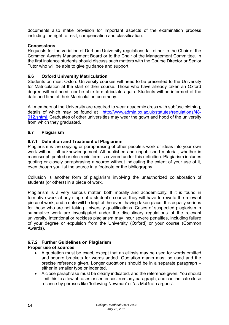documents also make provision for important aspects of the examination process including the right to resit, compensation and classification.

## **Concessions**

Requests for the variation of Durham University regulations fall either to the Chair of the Common Awards Management Board or to the Chair of the Management Committee. In the first instance students should discuss such matters with the Course Director or Senior Tutor who will be able to give guidance and support.

## <span id="page-17-0"></span>**6.6 Oxford University Matriculation**

Students on most Oxford University courses will need to be presented to the University for Matriculation at the start of their course. Those who have already taken an Oxford degree will not need, nor be able to matriculate again. Students will be informed of the date and time of their Matriculation ceremony.

All members of the University are required to wear academic dress with subfusc clothing, details of which may be found at [http://www.admin.ox.ac.uk/statutes/regulations/48-](http://www.admin.ox.ac.uk/statutes/regulations/48-012.shtml) [012.shtml](http://www.admin.ox.ac.uk/statutes/regulations/48-012.shtml) Graduates of other universities may wear the gown and hood of the university from which they graduated.

## <span id="page-17-1"></span>**6.7 Plagiarism**

## <span id="page-17-2"></span>**6.7.1 Definition and Treatment of Plagiarism**

Plagiarism is the copying or paraphrasing of other people's work or ideas into your own work without full acknowledgement. All published and unpublished material, whether in manuscript, printed or electronic form is covered under this definition. Plagiarism includes quoting or closely paraphrasing a source without indicating the extent of your use of it, even though you list the source in a footnote or the bibliography.

Collusion is another form of plagiarism involving the unauthorized collaboration of students (or others) in a piece of work.

Plagiarism is a very serious matter, both morally and academically. If it is found in formative work at any stage of a student's course, they will have to rewrite the relevant piece of work, and a note will be kept of the event having taken place. It is equally serious for those who are not taking University qualifications. Cases of suspected plagiarism in summative work are investigated under the disciplinary regulations of the relevant university. Intentional or reckless plagiarism may incur severe penalties, including failure of your degree or expulsion from the University (Oxford) or your course (Common Awards).

# <span id="page-17-3"></span>**6.7.2 Further Guidelines on Plagiarism**

## **Proper use of sources**

- A quotation must be exact, except that an ellipsis may be used for words omitted and square brackets for words added. Quotation marks must be used and the precise reference given. Longer quotations should be in a separate paragraph – either in smaller type or indented.
- A close paraphrase must be clearly indicated, and the reference given. You should limit this to a few phrases or sentences from any paragraph, and can indicate close reliance by phrases like 'following Newman' or 'as McGrath argues'.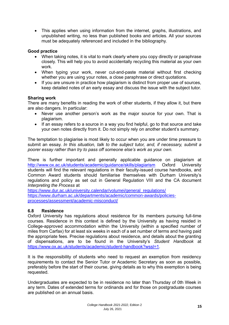• This applies when using information from the internet, graphs, illustrations, and unpublished writing, no less than published books and articles. All your sources must be adequately referenced and included in the bibliography.

## **Good practice**

- When taking notes, it is vital to mark clearly where you copy directly or paraphrase closely. This will help you to avoid accidentally recycling this material as your own work.
- When typing your work, never cut-and-paste material without first checking whether you are using your notes, a close paraphrase or direct quotations.
- If you are unsure in practice how plagiarism is distinct from proper use of sources, keep detailed notes of an early essay and discuss the issue with the subject tutor.

## **Sharing work**

There are many benefits in reading the work of other students, if they allow it, but there are also dangers. In particular:

- Never use another person's work as the major source for your own. That is plagiarism.
- If an essay refers to a source in a way you find helpful, go to that source and take your own notes directly from it. Do not simply rely on another student's summary.

The temptation to plagiarise is most likely to occur when you are under time pressure to submit an essay. *In this situation, talk to the subject tutor, and, if necessary, submit a poorer essay rather than try to pass off someone else's work as your own.*

There is further important and generally applicable guidance on plagiarism at <http://www.ox.ac.uk/students/academic/guidance/skills/plagiarism> Oxford University students will find the relevant regulations in their faculty-issued course handbooks, and Common Award students should familiarise themselves with Durham University's regulations and policy as set out in General Regulation VIII and the CA document *Interpreting the Process* at

[https://www.dur.ac.uk/university.calendar/volumei/general\\_regulations/](https://www.dur.ac.uk/university.calendar/volumei/general_regulations/) [https://www.durham.ac.uk/departments/academic/common-awards/policies](https://www.durham.ac.uk/departments/academic/common-awards/policies-processes/assessment/academic-misconduct/)[processes/assessment/academic-misconduct/](https://www.durham.ac.uk/departments/academic/common-awards/policies-processes/assessment/academic-misconduct/)

## <span id="page-18-0"></span>**6.8 Residence**

Oxford University has regulations about residence for its members pursuing full-time courses. Residence in this context is defined by the University as having resided in College-approved accommodation within the University (within a specified number of miles from Carfax) for at least six weeks in each of a set number of terms and having paid the appropriate fees. Precise regulations about residence, and details about the granting of dispensations, are to be found in the University's *Student Handbook* at [https://www.ox.ac.uk/students/academic/student-handbook?wssl=1.](https://www.ox.ac.uk/students/academic/student-handbook?wssl=1)

It is the responsibility of students who need to request an exemption from residency requirements to contact the Senior Tutor or Academic Secretary as soon as possible, preferably before the start of their course, giving details as to why this exemption is being requested.

Undergraduates are expected to be in residence no later than Thursday of 0th Week in any term. Dates of extended terms for ordinands and for those on postgraduate courses are published on an annual basis.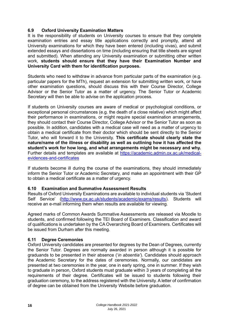## <span id="page-19-0"></span>**6.9 Oxford University Examination Matters**

It is the responsibility of students on University courses to ensure that they complete examination entries and essay title applications correctly and promptly, attend all University examinations for which they have been entered (including vivas), and submit extended essays and dissertations on time (including ensuring that title sheets are signed and submitted). When attending any University examination or submitting other written work, **students should ensure that they have their Examination Number and University Card with them for identification purposes.**

Students who need to withdraw in advance from particular parts of the examination (e.g. particular papers for the MTh), request an extension for submitting written work, or have other examination questions, should discuss this with their Course Director, College Advisor or the Senior Tutor as a matter of urgency. The Senior Tutor or Academic Secretary will then be able to advise on the application process.

If students on University courses are aware of medical or psychological conditions, or exceptional personal circumstances (e.g. the death of a close relative) which might affect their performance in examinations, or might require special examination arrangements, they should contact their Course Director, College Advisor or the Senior Tutor as soon as possible. In addition, candidates with a medical case will need as a matter of urgency to obtain a medical certificate from their doctor which should be sent directly to the Senior Tutor, who will forward it to the University. **This certificate should clearly state the nature/name of the illness or disability as well as outlining how it has affected the student's work for how long, and what arrangements might be necessary and why.** Further details and templates are available at [https://academic.admin.ox.ac.uk/medical](https://academic.admin.ox.ac.uk/medical-evidences-and-certificates)[evidences-and-certificates](https://academic.admin.ox.ac.uk/medical-evidences-and-certificates)

If students become ill during the course of the examinations, they should immediately inform the Senior Tutor or Academic Secretary, and make an appointment with their GP to obtain a medical certificate as a matter of urgency.

## <span id="page-19-1"></span>**6.10 Examination and Summative Assessment Results**

Results of Oxford University Examinations are available to individual students via 'Student Self Service' [\(http://www.ox.ac.uk/students/academic/exams/results\)](http://www.ox.ac.uk/students/academic/exams/results). Students will receive an e-mail informing them when results are available for viewing.

Agreed marks of Common Awards Summative Assessments are released via Moodle to students, and confirmed following the TEI Board of Examiners. Classification and award of qualifications is undertaken by the CA Overarching Board of Examiners. Certificates will be issued from Durham after this meeting.

## <span id="page-19-2"></span>**6.11 Degree Ceremonies**

Oxford University candidates are presented for degrees by the Dean of Degrees, currently the Senior Tutor. Degrees are normally awarded in person although it is possible for graduands to be presented in their absence ('*in absentia'*). Candidates should approach the Academic Secretary for the dates of ceremonies. Normally, our candidates are presented at two ceremonies in the year, one in early spring, one in summer. If they wish to graduate in person, Oxford students must graduate within 3 years of completing all the requirements of their degree. Certificates will be issued to students following their graduation ceremony, to the address registered with the University. A letter of confirmation of degree can be obtained from the University Website before graduation.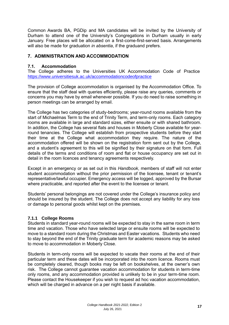Common Awards BA, PGDip and MA candidates will be invited by the University of Durham to attend one of the University's Congregations in Durham usually in early January. Free places will be allocated on a first-come-first-served basis. Arrangements will also be made for graduation *in absentia*, if the graduand prefers.

## <span id="page-20-0"></span>**7. ADMINISTRATION AND ACCOMMODATION**

#### <span id="page-20-1"></span>**7.1. Accommodation**

The College adheres to the Universities UK Accommodation Code of Practice <https://www.universitiesuk.ac.uk/accommodationcodeofpractice>

The provision of College accommodation is organised by the Accommodation Office. To ensure that the staff deal with queries efficiently, please raise any queries, comments or concerns you may have by email whenever possible. If you do need to raise something in person meetings can be arranged by email.

The College has two categories of study-bedrooms; year-round rooms available from the start of Michaelmas Term to the end of Trinity Term, and term-only rooms. Each category rooms are available in large and standard sizes, either ensuite or with shared bathroom. In addition, the College has several flats and houses in Moberly Close available for yearround tenancies. The College will establish from prospective students before they start their time at the College what accommodation they require. The nature of the accommodation offered will be shown on the registration form sent out by the College, and a student's agreement to this will be signified by their signature on that form. Full details of the terms and conditions of room and flat or house occupancy are set out in detail in the room licences and tenancy agreements respectively.

Except in an emergency or as set out in this *Handbook*, members of staff will not enter student accommodation without the prior permission of the licensee, tenant or tenant's representative/lawful occupier. Emergency access will be logged, approved by the Bursar where practicable, and reported after the event to the licensee or tenant.

Students' personal belongings are not covered under the College's insurance policy and should be insured by the student. The College does not accept any liability for any loss or damage to personal goods whilst kept on the premises.

## <span id="page-20-2"></span>**7.1.1 College Rooms**

Students in standard year-round rooms will be expected to stay in the same room in term time and vacation. Those who have selected large or ensuite rooms will be expected to move to a standard room during the Christmas and Easter vacations. Students who need to stay beyond the end of the Trinity graduate term for academic reasons may be asked to move to accommodation in Moberly Close.

Students in term-only rooms will be expected to vacate their rooms at the end of their particular term and these dates will be incorporated into the room licence. Rooms must be completely cleared, though books may be left on bookshelves, at the owner's own risk. The College cannot guarantee vacation accommodation for students in term-time only rooms, and any accommodation provided is unlikely to be in your term-time room. Please contact the Housekeeper if you wish to request ad hoc vacation accommodation, which will be charged in advance on a per night basis if available.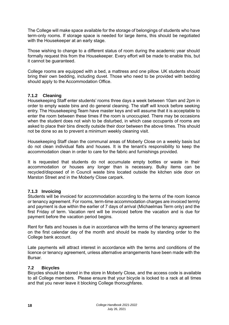The College will make space available for the storage of belongings of students who have term-only rooms. If storage space is needed for large items, this should be negotiated with the Housekeeper at an early stage.

Those wishing to change to a different status of room during the academic year should formally request this from the Housekeeper. Every effort will be made to enable this, but it cannot be guaranteed.

College rooms are equipped with a bed, a mattress and one pillow. UK students should bring their own bedding, including duvet. Those who need to be provided with bedding should apply to the Accommodation Office.

## <span id="page-21-0"></span>**7.1.2 Cleaning**

Housekeeping Staff enter students' rooms three days a week between 10am and 2pm in order to empty waste bins and do general cleaning. The staff will knock before seeking entry. The Housekeeping Team have master keys and will assume that it is acceptable to enter the room between these times if the room is unoccupied. There may be occasions when the student does not wish to be disturbed, in which case occupants of rooms are asked to place their bins directly outside their door between the above times. This should not be done so as to prevent a minimum weekly cleaning visit.

Housekeeping Staff clean the communal areas of Moberly Close on a weekly basis but do not clean individual flats and houses. It is the tenant's responsibility to keep the accommodation clean in order to care for the fabric and furnishings provided.

It is requested that students do not accumulate empty bottles or waste in their accommodation or houses any longer than is necessary. Bulky items can be recycled/disposed of in Council waste bins located outside the kitchen side door on Marston Street and in the Moberly Close carpark.

## <span id="page-21-1"></span>**7.1.3 Invoicing**

Students will be invoiced for accommodation according to the terms of the room licence or tenancy agreement. For rooms, term-time accommodation charges are invoiced termly and payment is due within the earlier of 7 days of arrival (Michaelmas Term only) and the first Friday of term. Vacation rent will be invoiced before the vacation and is due for payment before the vacation period begins.

Rent for flats and houses is due in accordance with the terms of the tenancy agreement on the first calendar day of the month and should be made by standing order to the College bank account.

Late payments will attract interest in accordance with the terms and conditions of the licence or tenancy agreement, unless alternative arrangements have been made with the Bursar.

#### <span id="page-21-2"></span>**7.2 Bicycles**

Bicycles should be stored in the store in Moberly Close, and the access code is available to all College members. Please ensure that your bicycle is locked to a rack at all times and that you never leave it blocking College thoroughfares.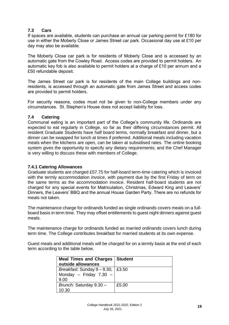## <span id="page-22-0"></span>**7.3 Cars**

If spaces are available, students can purchase an annual car parking permit for £180 for use in either the Moberly Close or James Street car park. Occasional day use at £10 per day may also be available.

The Moberly Close car park is for residents of Moberly Close and is accessed by an automatic gate from the Cowley Road. Access codes are provided to permit holders. An automatic key fob is also available to permit holders at a charge of £10 per annum and a £50 refundable deposit.

The James Street car park is for residents of the main College buildings and nonresidents, is accessed through an automatic gate from James Street and access codes are provided to permit holders.

For security reasons, codes must not be given to non-College members under any circumstances. St. Stephen's House does not accept liability for loss.

## <span id="page-22-1"></span>**7.4 Catering**

Communal eating is an important part of the College's community life. Ordinands are expected to eat regularly in College, so far as their differing circumstances permit. All resident Graduate Students have half board terms, normally breakfast and dinner, but a dinner can be swapped for lunch at times if preferred. Additional meals including vacation meals when the kitchens are open, can be taken at subsidised rates. The online booking system gives the opportunity to specify any dietary requirements; and the Chef Manager is very willing to discuss these with members of College.

## <span id="page-22-2"></span>**7.4.1 Catering Allowances**

Graduate students are charged £57.75 for half-board term-time catering which is invoiced with the termly accommodation invoice, with payment due by the first Friday of term on the same terms as the accommodation invoice. Resident half-board students are not charged for any special events for Matriculation, Christmas, Edward King and Leavers' Dinners, the Leavers' BBQ and the annual House Garden Party. There are no refunds for meals not taken.

The maintenance charge for ordinands funded as single ordinands covers meals on a fullboard basis in term time. They may offset entitlements to guest night dinners against guest meals.

The maintenance charge for ordinands funded as married ordinands covers lunch during term time. The College contributes breakfast for married students at its own expense.

Guest meals and additional meals will be charged for on a termly basis at the end of each term according to the table below.

| <b>Meal Times and Charges</b><br>outside allowances             | <b>Student</b> |
|-----------------------------------------------------------------|----------------|
| Breakfast: Sunday 9 – 9.30,<br>Monday - Friday $7.30$ -<br>9.00 | £3.50          |
| Brunch: Saturday 9.30 -<br>10.30                                | £5.00          |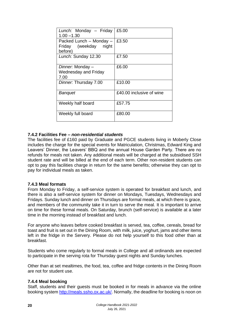| Lunch: Monday - Friday<br>$1.00 - 1.30$                     | £5.00                    |  |
|-------------------------------------------------------------|--------------------------|--|
| Packed Lunch - Monday -<br>Friday (weekday night<br>before) | £3.50                    |  |
| Lunch: Sunday 12.30                                         | £7.50                    |  |
| Dinner: Monday -<br><b>Wednesday and Friday</b><br>7.00     | £6.00                    |  |
| Dinner: Thursday 7.00                                       | £10.00                   |  |
| <b>Banquet</b>                                              | £40.00 inclusive of wine |  |
| Weekly half board                                           | £57.75                   |  |
| Weekly full board                                           | £80.00                   |  |

## <span id="page-23-0"></span>**7.4.2 Facilities Fee –** *non-residential students*

The facilities fee of £160 paid by Graduate and PGCE students living in Moberly Close includes the charge for the special events for Matriculation, Christmas, Edward King and Leavers' Dinner, the Leavers' BBQ and the annual House Garden Party. There are no refunds for meals not taken. Any additional meals will be charged at the subsidised SSH student rate and will be billed at the end of each term. Other non-resident students can opt to pay this facilities charge in return for the same benefits; otherwise they can opt to pay for individual meals as taken.

## <span id="page-23-1"></span>**7.4.3 Meal formats**

From Monday to Friday, a self-service system is operated for breakfast and lunch, and there is also a self-service system for dinner on Mondays, Tuesdays, Wednesdays and Fridays. Sunday lunch and dinner on Thursdays are formal meals, at which there is grace, and members of the community take it in turn to serve the meal. It is important to arrive on time for these formal meals. On Saturday, brunch (self-service) is available at a later time in the morning instead of breakfast and lunch.

For anyone who leaves before cooked breakfast is served, tea, coffee, cereals, bread for toast and fruit is set out in the Dining Room, with milk, juice, yoghurt, jams and other items left in the fridge in the Servery. Please do not help yourself to this food other than at breakfast.

Students who come regularly to formal meals in College and all ordinands are expected to participate in the serving rota for Thursday guest nights and Sunday lunches.

Other than at set mealtimes, the food, tea, coffee and fridge contents in the Dining Room are not for student use.

## <span id="page-23-2"></span>**7.4.4 Meal booking**

Staff, students and their guests must be booked in for meals in advance via the online booking system [http://meals.ssho.ox.ac.uk/.](http://meals.ssho.ox.ac.uk/) Normally, the deadline for booking is noon on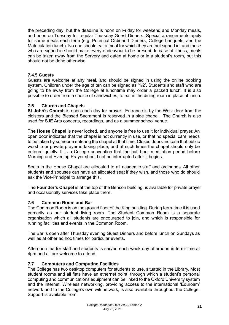the preceding day; but the deadline is noon on Friday for weekend and Monday meals, and noon on Tuesday for regular Thursday Guest Dinners. Special arrangements apply for some meals each term (e.g. Potential Ordinand Dinners, College banquets, and the Matriculation lunch). No one should eat a meal for which they are not signed in, and those who are signed in should make every endeavour to be present. In case of illness, meals can be taken away from the Servery and eaten at home or in a student's room, but this should not be done otherwise.

## <span id="page-24-0"></span>**7.4.5 Guests**

Guests are welcome at any meal, and should be signed in using the online booking system. Children under the age of ten can be signed as '1/2'. Students and staff who are going to be away from the College at lunchtime may order a packed lunch. It is also possible to order from a choice of sandwiches, to eat in the dining room in place of lunch.

## <span id="page-24-1"></span>**7.5 Church and Chapels**

**St John's Church** is open each day for prayer. Entrance is by the West door from the cloisters and the Blessed Sacrament is reserved in a side chapel. The Church is also used for SJE Arts concerts, recordings, and as a summer school venue.

**The House Chapel** is never locked, and anyone is free to use it for individual prayer. An open door indicates that the chapel is not currently in use, or that no special care needs to be taken by someone entering the chapel at that time. Closed doors indicate that public worship or private prayer is taking place, and at such times the chapel should only be entered quietly. It is a College convention that the half-hour meditation period before Morning and Evening Prayer should not be interrupted after it begins.

Seats in the House Chapel are allocated to all academic staff and ordinands. All other students and spouses can have an allocated seat if they wish, and those who do should ask the Vice-Principal to arrange this.

**The Founder's Chapel** is at the top of the Benson building, is available for private prayer and occasionally services take place there.

## <span id="page-24-2"></span>**7.6 Common Room and Bar**

The Common Room is on the ground floor of the King building. During term-time it is used primarily as our student living room. The Student Common Room is a separate organisation which all students are encouraged to join, and which is responsible for running facilities and events in the Common Room.

The Bar is open after Thursday evening Guest Dinners and before lunch on Sundays as well as at other ad hoc times for particular events.

Afternoon tea for staff and students is served each week day afternoon in term-time at 4pm and all are welcome to attend.

## <span id="page-24-3"></span>**7.7 Computers and Computing Facilities**

The College has two desktop computers for students to use, situated in the Library. Most student rooms and all flats have an ethernet point, through which a student's personal computing and communications equipment can be linked to the Oxford University system and the internet. Wireless networking, providing access to the international 'Eduroam' network and to the College's own wifi network, is also available throughout the College. Support is available from: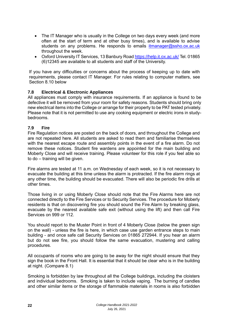- The IT Manager who is usually in the College on two days every week (and more often at the start of term and at other busy times), and is available to advise students on any problems. He responds to emails *[itmanager@ssho.ox.ac.uk](mailto:itmanager@ssho.ox.ac.uk)* throughout the week.
- Oxford University IT Services, 13 Banbury Road <https://help.it.ox.ac.uk/> Tel. 01865 (6)12345 are available to all students and staff of the University.

If you have any difficulties or concerns about the process of keeping up to date with requirements, please contact IT Manager. For rules relating to computer matters, see Section 8.10 below

## <span id="page-25-0"></span>**7.8 Electrical & Electronic Appliances**

All appliances must comply with insurance requirements. If an appliance is found to be defective it will be removed from your room for safety reasons. Students should bring only new electrical items into the College or arrange for their property to be PAT tested privately. Please note that it is not permitted to use any cooking equipment or electric irons in studybedrooms.

#### <span id="page-25-1"></span>**7.9 Fire**

Fire Regulation notices are posted on the back of doors, and throughout the College and are not repeated here. All students are asked to read them and familiarise themselves with the nearest escape route and assembly points in the event of a fire alarm. Do not remove these notices. Student fire wardens are appointed for the main building and Moberly Close and will receive training. Please volunteer for this role if you feel able so to do – training will be given.

Fire alarms are tested at 11 a.m. on Wednesday of each week, so it is not necessary to evacuate the building at this time unless the alarm is protracted. If the fire alarm rings at any other time, the building should be evacuated. There will also be periodic fire drills at other times.

Those living in or using Moberly Close should note that the Fire Alarms here are not connected directly to the Fire Services or to Security Services. The procedure for Moberly residents is that on discovering fire you should sound the Fire Alarm by breaking glass, evacuate by the nearest available safe exit (without using the lift) and then call Fire Services on 999 or 112

You should report to the Muster Point in front of 4 Moberly Close (below the green sign on the wall) - unless the fire is here, in which case use garden entrance steps to main building - and once safe call Security Services on 01865 272944. If you hear an alarm but do not see fire, you should follow the same evacuation, mustering and calling procedures.

All occupants of rooms who are going to be away for the night should ensure that they sign the book in the Front Hall. It is essential that it should be clear who is in the building at night. (Compare 8.1)

Smoking is forbidden by law throughout all the College buildings, including the cloisters and individual bedrooms. Smoking is taken to include vaping. The burning of candles and other similar items or the storage of flammable materials in rooms is also forbidden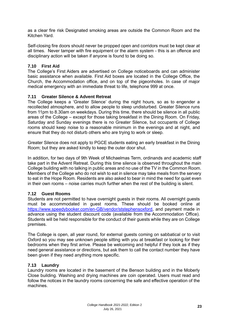as a clear fire risk Designated smoking areas are outside the Common Room and the Kitchen Yard.

Self-closing fire doors should never be propped open and corridors must be kept clear at all times. Never tamper with fire equipment or the alarm system - this is an offence and disciplinary action will be taken if anyone is found to be doing so.

## <span id="page-26-0"></span>**7.10 First Aid**

The College's First Aiders are advertised on College noticeboards and can administer basic assistance when available. First Aid boxes are located in the College Office, the Church, the Accommodation office, and on top of the pigeonholes. In case of major medical emergency with an immediate threat to life, telephone 999 at once.

#### <span id="page-26-1"></span>**7.11 Greater Silence & Advent Retreat**

The College keeps a 'Greater Silence' during the night hours, so as to engender a recollected atmosphere, and to allow people to sleep undisturbed. Greater Silence runs from 11pm to 8.30am on weekdays. During this time, there should be silence in all public areas of the College – except for those taking breakfast in the Dining Room. On Friday, Saturday and Sunday evenings there is no Greater Silence, but occupants of College rooms should keep noise to a reasonable minimum in the evenings and at night, and ensure that they do not disturb others who are trying to work or sleep.

Greater Silence does not apply to PGCE students eating an early breakfast in the Dining Room; but they are asked kindly to keep the outer door shut.

In addition, for two days of 9th Week of Michaelmas Term, ordinands and academic staff take part in the Advent Retreat. During this time silence is observed throughout the main College building with no talking in public areas and no use of the TV in the Common Room. Members of the College who do not wish to eat in silence may take meals from the servery to eat in the Hope Room. Residents are also asked to bear in mind the need for quiet even in their own rooms – noise carries much further when the rest of the building is silent.

## <span id="page-26-2"></span>**7.12 Guest Rooms**

Students are not permitted to have overnight guests in their rooms. All overnight guests must be accommodated in guest rooms. These should be booked online at [https://www.speedybooker.com/en-GB/vendor/ststephensoxford,](https://www.speedybooker.com/en-GB/vendor/ststephensoxford) and payment made in advance using the student discount code (available from the Accommodation Office). Students will be held responsible for the conduct of their guests while they are on College premises.

The College is open, all year round, for external guests coming on sabbatical or to visit Oxford so you may see unknown people sitting with you at breakfast or looking for their bedrooms when they first arrive. Please be welcoming and helpful if they look as if they need general assistance or directions, but ask them to call the contact number they have been given if they need anything more specific.

#### <span id="page-26-3"></span>**7.13 Laundry**

Laundry rooms are located in the basement of the Benson building and in the Moberly Close building. Washing and drying machines are coin operated. Users must read and follow the notices in the laundry rooms concerning the safe and effective operation of the machines.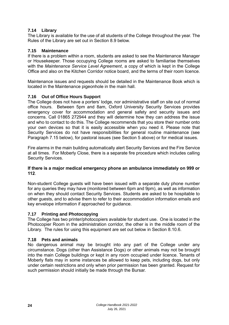## <span id="page-27-0"></span>**7.14 Library**

The Library is available for the use of all students of the College throughout the year. The Rules of the Library are set out in Section 8.9 below.

## <span id="page-27-1"></span>**7.15 Maintenance**

If there is a problem within a room, students are asked to see the Maintenance Manager or Housekeeper. Those occupying College rooms are asked to familiarise themselves with the *Maintenance Service Level Agreement*, a copy of which is kept in the College Office and also on the Kitchen Corridor notice board, and the terms of their room licence.

Maintenance issues and requests should be detailed in the Maintenance Book which is located in the Maintenance pigeonhole in the main hall.

## <span id="page-27-2"></span>**7.16 Out of Office Hours Support**

The College does not have a porters' lodge, nor administrative staff on site out of normal office hours. Between 5pm and 8am, Oxford University Security Services provides emergency cover for accommodation and general safety and security issues and concerns. Call 01865 272944 and they will determine how they can address the issue and who to contact to do this. The College recommends that you store their number onto your own devices so that it is easily accessible when you need it. Please note that Security Services do not have responsibilities for general routine maintenance (see Paragraph 7.15 below), for pastoral issues (see Section 5 above) or for medical issues.

Fire alarms in the main building automatically alert Security Services and the Fire Service at all times. For Moberly Close, there is a separate fire procedure which includes calling Security Services.

#### **If there is a major medical emergency phone an ambulance immediately on 999 or 112**.

Non-student College guests will have been issued with a separate duty phone number for any queries they may have (monitored between 6pm and 9pm), as well as information on when they should contact Security Services. Students are asked to be hospitable to other guests, and to advise them to refer to their accommodation information emails and key envelope information if approached for guidance.

## <span id="page-27-3"></span>**7.17 Printing and Photocopying**

The College has two printer/photocopiers available for student use. One is located in the Photocopier Room in the administration corridor, the other is in the middle room of the Library. The rules for using this equipment are set out below in Section 8.10.6.

#### <span id="page-27-4"></span>**7.18 Pets and animals**

No dangerous animal may be brought into any part of the College under any circumstance. Dogs (other than Assistance Dogs) or other animals may not be brought into the main College buildings or kept in any room occupied under licence. Tenants of Moberly flats may in some instances be allowed to keep pets, including dogs, but only under certain restrictions and only when prior permission has been granted. Request for such permission should initially be made through the Bursar.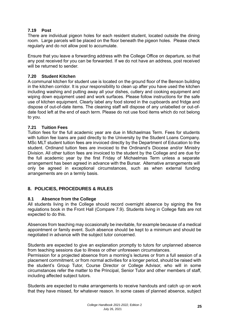## <span id="page-28-0"></span>**7.19 Post**

There are individual pigeon holes for each resident student, located outside the dining room. Large parcels will be placed on the floor beneath the pigeon holes. Please check regularly and do not allow post to accumulate.

Ensure that you leave a forwarding address with the College Office on departure, so that any post received for you can be forwarded. If we do not have an address, post received will be returned to sender.

## <span id="page-28-1"></span>**7.20 Student Kitchen**

A communal kitchen for student use is located on the ground floor of the Benson building in the kitchen corridor. It is your responsibility to clean up after you have used the kitchen including washing and putting away all your dishes, cutlery and cooking equipment and wiping down equipment used and work surfaces. Please follow instructions for the safe use of kitchen equipment. Clearly label any food stored in the cupboards and fridge and dispose of out-of-date items. The cleaning staff will dispose of any unlabelled or out-ofdate food left at the end of each term. Please do not use food items which do not belong to you.

## <span id="page-28-2"></span>**7.21 Tuition Fees**

Tuition fees for the full academic year are due in Michaelmas Term. Fees for students with tuition fee loans are paid directly to the University by the Student Loans Company. MSc MLT student tuition fees are invoiced directly by the Department of Education to the student. Ordinand tuition fees are invoiced to the Ordinand's Diocese and/or Ministry Division. All other tuition fees are invoiced to the student by the College and are due for the full academic year by the first Friday of Michaelmas Term unless a separate arrangement has been agreed in advance with the Bursar. Alternative arrangements will only be agreed in exceptional circumstances, such as when external funding arrangements are on a termly basis.

# <span id="page-28-3"></span>**8. POLICIES, PROCEDURES & RULES**

## <span id="page-28-4"></span>**8.1 Absence from the College**

All students living in the College should record overnight absence by signing the fire regulations book in the Front Hall (Compare 7.9). Students living in College flats are not expected to do this.

Absences from teaching may occasionally be inevitable, for example because of a medical appointment or family event. Such absence should be kept to a minimum and should be negotiated in advance with the subject tutor concerned.

Students are expected to give an explanation promptly to tutors for unplanned absence from teaching sessions due to illness or other unforeseen circumstances.

Permission for a projected absence from a morning's lectures or from a full session of a placement commitment, or from normal activities for a longer period, should be raised with the student's Group Tutor, Course Director or College Advisor, who will in some circumstances refer the matter to the Principal, Senior Tutor and other members of staff, including affected subject tutors.

Students are expected to make arrangements to receive handouts and catch up on work that they have missed, for whatever reason. In some cases of planned absence, subject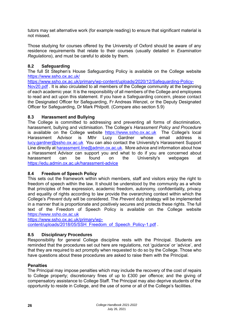tutors may set alternative work (for example reading) to ensure that significant material is not missed.

Those studying for courses offered by the University of Oxford should be aware of any residence requirements that relate to their courses (usually detailed in *Examination Regulations*), and must be careful to abide by them.

## <span id="page-29-0"></span>**8.2 Safeguarding**

The full St Stephen's House Safeguarding Policy is available on the College website <https://www.ssho.ox.ac.uk/>

[https://www.ssho.ox.ac.uk/primary/wp-content/uploads/2020/12/Safeguarding-Policy-](https://www.ssho.ox.ac.uk/primary/wp-content/uploads/2020/12/Safeguarding-Policy-Nov20.pdf)

[Nov20.pdf](https://www.ssho.ox.ac.uk/primary/wp-content/uploads/2020/12/Safeguarding-Policy-Nov20.pdf) . It is also circulated to all members of the College community at the beginning of each academic year. It is the responsibility of all members of the College and employees to read and act upon this statement. If you have a Safeguarding concern, please contact the Designated Officer for Safeguarding, Fr Andreas Wenzel, or the Deputy Designated Officer for Safeguarding, Dr Mark Philpott. (Compare also section 5.9)

## <span id="page-29-1"></span>**8.3 Harassment and Bullying**

The College is committed to addressing and preventing all forms of discrimination, harassment, bullying and victimisation. The College's *Harassment Policy and Procedure*  is available on the College website [https://www.ssho.ox.ac.uk](https://www.ssho.ox.ac.uk/) The College's local Harassment Advisor is Mthr Lucy Gardner whose email address is [lucy.gardner@ssho.ox.ac.uk](mailto:lucy.gardner@ssho.ox.ac.uk) You can also contact the University's Harassment Support Line directly at [harassment.line@admin.ox.ac.uk.](mailto:harassment.line@admin.ox.ac.uk) More advice and information about how a Harassment Advisor can support you and what to do if you are concerned about harassment can be found on the University's webpages at <https://edu.admin.ox.ac.uk/harassment-advice>

# **8.4 Freedom of Speech Policy**

This sets out the framework within which members, staff and visitors enjoy the right to freedom of speech within the law. It should be understood by the community as a whole that principles of free expression, academic freedom, autonomy, confidentiality, privacy and equality of rights according to law provide the overarching context within which the College's *Prevent* duty will be considered. The *Prevent* duty strategy will be implemented in a manner that is proportionate and positively secures and protects these rights. The full text of the Freedom of Speech Policy is available on the College website [https://www.ssho.ox.ac.uk](https://www.ssho.ox.ac.uk/)

[https://www.ssho.ox.ac.uk/primary/wp](https://www.ssho.ox.ac.uk/primary/wp-content/uploads/2018/05/SSH_Freedom_of_Speech_Policy-1.pdf)[content/uploads/2018/05/SSH\\_Freedom\\_of\\_Speech\\_Policy-1.pdf](https://www.ssho.ox.ac.uk/primary/wp-content/uploads/2018/05/SSH_Freedom_of_Speech_Policy-1.pdf) .

## <span id="page-29-2"></span>**8.5 Disciplinary Procedures**

Responsibility for general College discipline rests with the Principal. Students are reminded that the procedures set out here are regulations, not 'guidance' or 'advice', and that they are required to act promptly when requested to do so by the College. Those who have questions about these procedures are asked to raise them with the Principal.

## **Penalties**

The Principal may impose penalties which may include the recovery of the cost of repairs to College property; discretionary fines of up to £300 per offence; and the giving of compensatory assistance to College Staff. The Principal may also deprive students of the opportunity to reside in College, and the use of some or all of the College's facilities.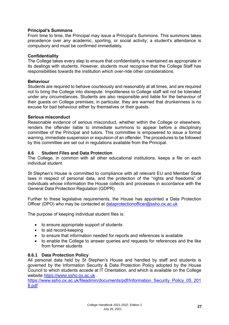#### **Principal's Summons**

From time to time, the Principal may issue a Principal's Summons. This summons takes precedence over any academic, sporting, or social activity; a student's attendance is compulsory and must be confirmed immediately.

#### **Confidentiality**

The College takes every step to ensure that confidentiality is maintained as appropriate in its dealings with students. However, students must recognise that the College Staff has responsibilities towards the institution which over-ride other considerations.

#### **Behaviour**

Students are required to behave courteously and reasonably at all times, and are required not to bring the College into disrepute. Impoliteness to College staff will not be tolerated under any circumstances. Students are also responsible and liable for the behaviour of their guests on College premises; in particular, they are warned that drunkenness is no excuse for bad behaviour either by themselves or their guests.

#### **Serious misconduct**

Reasonable evidence of serious misconduct, whether within the College or elsewhere, renders the offender liable to immediate summons to appear before a disciplinary committee of the Principal and tutors. This committee is empowered to issue a formal warning, immediate suspension or expulsion of an offender. The procedures to be followed by this committee are set out in regulations available from the Principal.

#### <span id="page-30-0"></span>**8.6 Student Files and Data Protection**

The College, in common with all other educational institutions, keeps a file on each individual student.

St Stephen's House is committed to compliance with all relevant EU and Member State laws in respect of personal data, and the protection of the "rights and freedoms" of individuals whose information the House collects and processes in accordance with the General Data Protection Regulation (GDPR).

Further to these legislative requirements, the House has appointed a Data Protection Officer (DPO) who may be contacted at [dataprotectionofficer@ssho.ox.ac.uk](mailto:dataprotectionofficer@ssho.ox.ac.uk)

The purpose of keeping individual student files is:

- to ensure appropriate support of students
- to aid record-keeping
- to ensure that information needed for reports and references is available
- to enable the College to answer queries and requests for references and the like from former students

## <span id="page-30-1"></span>**8.6.1 Data Protection Policy**

All personal data held by St Stephen's House and handled by staff and students is governed by the Information Security & Data Protection Policy adopted by the House Council to which students accede at IT Orientation, and which is available on the College website [https://www.ssho.ox.ac.uk](https://www.ssho.ox.ac.uk/).

[https://www.ssho.ox.ac.uk/fileadmin/documents/pdf/Information\\_Security\\_Policy\\_05\\_201](https://www.ssho.ox.ac.uk/fileadmin/documents/pdf/Information_Security_Policy_05_2018.pdf) [8.pdf](https://www.ssho.ox.ac.uk/fileadmin/documents/pdf/Information_Security_Policy_05_2018.pdf)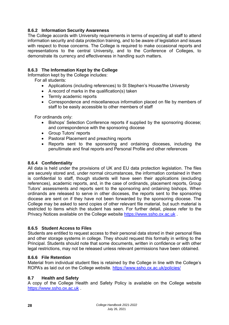## <span id="page-31-0"></span>**8.6.2 Information Security Awareness**

The College accords with University requirements in terms of expecting all staff to attend information security and data protection training, and to be aware of legislation and issues with respect to those concerns. The College is required to make occasional reports and representations to the central University, and to the Conference of Colleges, to demonstrate its currency and effectiveness in handling such matters.

## <span id="page-31-1"></span>**8.6.3 The Information Kept by the College**

Information kept by the College includes:

For all students:

- Applications (including references) to St Stephen's House/the University
- A record of marks in the qualification(s) taken
- Termly academic reports
- Correspondence and miscellaneous information placed on file by members of staff to be easily accessible to other members of staff

For ordinands only:

- Bishops' Selection Conference reports if supplied by the sponsoring diocese; and correspondence with the sponsoring diocese
- Group Tutors' reports
- Pastoral Placement and preaching reports
- Reports sent to the sponsoring and ordaining dioceses, including the penultimate and final reports and Personal Profile and other references

#### <span id="page-31-2"></span>**8.6.4 Confidentiality**

All data is held under the provisions of UK and EU data protection legislation. The files are securely stored and, under normal circumstances, the information contained in them is confidential to staff, though students will have seen their applications (excluding references), academic reports, and, in the case of ordinands, placement reports, Group Tutors' assessments and reports sent to the sponsoring and ordaining bishops. When ordinands are released to serve in other dioceses, the reports sent to the sponsoring diocese are sent on if they have not been forwarded by the sponsoring diocese. The College may be asked to send copies of other relevant file material, but such material is restricted to items which the student has seen. For further detail, please refer to the Privacy Notices available on the College website [https://www.ssho.ox.ac.uk](https://www.ssho.ox.ac.uk/) .

#### <span id="page-31-3"></span>**8.6.5 Student Access to Files**

Students are entitled to request access to their personal data stored in their personal files and other storage systems in college. They should request this formally in writing to the Principal. Students should note that some documents, written in confidence or with other legal restrictions, may not be released unless relevant permissions have been obtained.

#### <span id="page-31-4"></span>**8.6.6 File Retention**

Material from individual student files is retained by the College in line with the College's ROPA's as laid out on the College website.<https://www.ssho.ox.ac.uk/policies/>

#### <span id="page-31-5"></span>**8.7 Health and Safety**

A copy of the College Health and Safety Policy is available on the College website [https://www.ssho.ox.ac.uk](https://www.ssho.ox.ac.uk/) .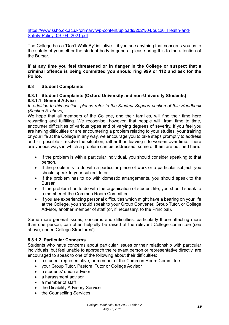[https://www.ssho.ox.ac.uk/primary/wp-content/uploads/2021/04/ouc26\\_Health-and-](https://www.ssho.ox.ac.uk/primary/wp-content/uploads/2021/04/ouc26_Health-and-Safety-Policy_09_04_2021.pdf)Safety-Policy 09 04 2021.pdf

The College has a 'Don't Walk By' initiative – if you see anything that concerns you as to the safety of yourself or the student body in general please bring this to the attention of the Bursar.

**If at any time you feel threatened or in danger in the College or suspect that a criminal offence is being committed you should ring 999 or 112 and ask for the Police.** 

## <span id="page-32-0"></span>**8.8 Student Complaints**

#### <span id="page-32-1"></span>**8.8.1 Student Complaints (Oxford University and non-University Students) 8.8.1.1 General Advice**

*In addition to this section, please refer to the Student Support section of this Handbook (Section 5, above).*

We hope that all members of the College, and their families, will find their time here rewarding and fulfilling. We recognise, however, that people will, from time to time, encounter difficulties of various types and of varying degrees of severity. If you feel you are having difficulties or are encountering a problem relating to your studies, your training or your life at the College in any way, we encourage you to take steps promptly to address and - if possible - resolve the situation, rather than leaving it to worsen over time. There are various ways in which a problem can be addressed; some of them are outlined here.

- If the problem is with a particular individual, you should consider speaking to that person.
- If the problem is to do with a particular piece of work or a particular subject, you should speak to your subject tutor.
- If the problem has to do with domestic arrangements, you should speak to the Bursar.
- If the problem has to do with the organisation of student life, you should speak to a member of the Common Room Committee.
- If you are experiencing personal difficulties which might have a bearing on your life at the College, you should speak to your Group Convener, Group Tutor, or College Advisor, another member of staff (or, if necessary, to the Principal).

Some more general issues, concerns and difficulties, particularly those affecting more than one person, can often helpfully be raised at the relevant College committee (see above, under 'College Structures').

#### **8.8.1.2 Particular Concerns**

Students who have concerns about particular issues or their relationship with particular individuals, but feel unable to approach the relevant person or representative directly, are encouraged to speak to one of the following about their difficulties:

- a student representative, or member of the Common Room Committee
- your Group Tutor, Pastoral Tutor or College Advisor
- a students' union advisor
- a harassment advisor
- a member of staff
- the Disability Advisory Service
- the Counselling Services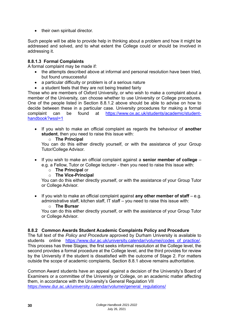• their own spiritual director.

Such people will be able to provide help in thinking about a problem and how it might be addressed and solved, and to what extent the College could or should be involved in addressing it.

## **8.8.1.3 Formal Complaints**

A formal complaint may be made if:

- the attempts described above at informal and personal resolution have been tried, but found unsuccessful
- a particular difficulty or problem is of a serious nature
- a student feels that they are not being treated fairly

Those who are members of Oxford University, or who wish to make a complaint about a member of the University, can choose whether to use University or College procedures. One of the people listed in Section 8.8.1.2 above should be able to advise on how to decide between these in a particular case. University procedures for making a formal complaint can be found at [https://www.ox.ac.uk/students/academic/student](https://www.ox.ac.uk/students/academic/student-handbook?wssl=1)[handbook?wssl=1](https://www.ox.ac.uk/students/academic/student-handbook?wssl=1)

• If you wish to make an official complaint as regards the behaviour of **another student**, then you need to raise this issue with:

#### o **The Principal**

You can do this either directly yourself, or with the assistance of your Group Tutor/College Advisor.

- If you wish to make an official complaint against a **senior member of college** e.g. a Fellow, Tutor or College lecturer - then you need to raise this issue with:
	- o **The Principal** or
	- o **The Vice-Principal**

You can do this either directly yourself, or with the assistance of your Group Tutor or College Advisor.

• If you wish to make an official complaint against **any other member of staff** – e.g. administrative staff, kitchen staff, IT staff – you need to raise this issue with:

#### o **The Bursar**

You can do this either directly yourself, or with the assistance of your Group Tutor or College Advisor.

## <span id="page-33-0"></span>**8.8.2 Common Awards Student Academic Complaints Policy and Procedure**

The full text of the *Policy and Procedure* approved by Durham University is available to students online https://www.dur.ac.uk/university.calendar/volumei/codes of practice/. This process has three Stages; the first seeks informal resolution at the College level, the second provides a formal procedure at the College level, and the third provides for review by the University if the student is dissatisfied with the outcome of Stage 2. For matters outside the scope of academic complaints, Section 8.8.1 above remains authoritative.

Common Award students have an appeal against a decision of the University's Board of Examiners or a committee of the University or College, on an academic matter affecting them, in accordance with the University's General Regulation VII [https://www.dur.ac.uk/university.calendar/volumei/general\\_regulations/](https://www.dur.ac.uk/university.calendar/volumei/general_regulations/)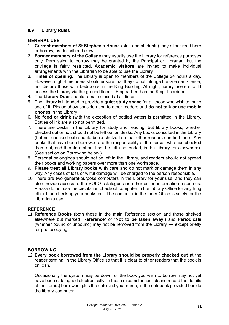#### <span id="page-34-0"></span>**8.9 Library Rules**

#### **GENERAL USE**

- 1. **Current members of St Stephen's House** (staff and students) may either read here or borrow, as described below.
- 2. **Former members of the College** may usually use the Library for reference purposes only. Permission to borrow may be granted by the Principal or Librarian, but the privilege is fairly restricted**. Academic visitors** are invited to make individual arrangements with the Librarian to be able to use the Library.
- 3. **Times of opening.** The Library is open to members of the College 24 hours a day. However, night-time users should ensure that they do not infringe the Greater Silence, nor disturb those with bedrooms in the King Building. At night, library users should access the Library via the ground floor of King rather than the King 1 corridor.
- 4. The **Library Door** should remain closed at all times.
- 5. The Library is intended to provide a **quiet study space** for all those who wish to make use of it. Please show consideration to other readers and **do not talk or use mobile phones** in the Library
- 6. **No food or drink** (with the exception of bottled water) is permitted in the Library. Bottles of ink are also not permitted.
- 7. There are desks in the Library for study and reading, but library books, whether checked out or not, should not be left out on desks. Any books consulted in the Library (but not checked out) should be re-shelved so that other readers can find them. Any books that have been borrowed are the responsibility of the person who has checked them out, and therefore should not be left unattended, in the Library (or elsewhere). (See section on Borrowing below.)
- 8. Personal belongings should not be left in the Library, and readers should not spread their books and working papers over more than one workspace.
- 9. **Please treat all Library books with care** and do not mark or damage them in any way. Any cases of loss or wilful damage will be charged to the person responsible.
- 10. There are two general-purpose computers in the Library for your use, and they can also provide access to the SOLO catalogue and other online information resources. Please do not use the circulation checkout computer in the Library Office for anything other than checking your books out. The computer in the Inner Office is solely for the Librarian's use.

## **REFERENCE**

11. **Reference Books** (both those in the main Reference section and those shelved elsewhere but marked **'Reference'** or **'Not to be taken away'**) and **Periodicals** (whether bound or unbound) may not be removed from the Library –– except briefly for photocopying.

## **BORROWING**

12. **Every book borrowed from the Library should be properly checked out** at the reader terminal in the Library Office so that it is clear to other readers that the book is on loan.

Occasionally the system may be down, or the book you wish to borrow may not yet have been catalogued electronically; in these circumstances, please record the details of the item(s) borrowed, plus the date and your name, in the notebook provided beside the library computer.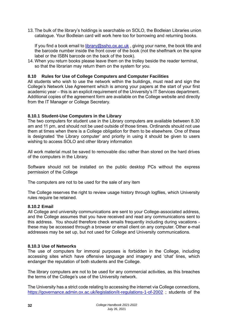13. The bulk of the library's holdings is searchable on SOLO, the Bodleian Libraries union catalogue. Your Bodleian card will work here too for borrowing and returning books.

If you find a book email to [library@ssho.ox.ac.uk](mailto:library@ssho.ox.ac.uk), giving your name, the book title and the barcode number inside the front cover of the book (not the shelfmark on the spine label or the ISBN barcode on the back of the book).

14. When you return books please leave them on the trolley beside the reader terminal, so that the librarian may return them on the system for you.

#### <span id="page-35-0"></span>**8.10 Rules for Use of College Computers and Computer Facilities**

All students who wish to use the network within the buildings, must read and sign the College's Network Use Agreement which is among your papers at the start of your first academic year – this is an explicit requirement of the University's IT Services department. Additional copies of the agreement form are available on the College website and directly from the IT Manager or College Secretary.

#### <span id="page-35-1"></span>**8.10.1 Student-Use Computers in the Library**

The two computers for student use in the Library computers are available between 8.30 am and 11 pm, and should not be used outside of those times. Ordinands should not use them at times when there is a College obligation for them to be elsewhere. One of these is designated 'the Library computer' and priority in using it should be given to users wishing to access SOLO and other library information

All work material must be saved to removable disc rather than stored on the hard drives of the computers in the Library.

Software should not be installed on the public desktop PCs without the express permission of the College

The computers are not to be used for the sale of any item

The College reserves the right to review usage history through logfiles, which University rules require be retained.

#### <span id="page-35-2"></span>**8.10.2 Email**

All College and university communications are sent to your College-associated address, and the College assumes that you have received and read any communications sent to this address. You should therefore check emails frequently including during vacations these may be accessed through a browser or email client on any computer. Other e-mail addresses may be set up, but not used for College and University communications.

#### <span id="page-35-3"></span>**8.10.3 Use of Networks**

The use of computers for immoral purposes is forbidden in the College, including accessing sites which have offensive language and imagery and 'chat' lines, which endanger the reputation of both students and the College.

The library computers are not to be used for any commercial activities, as this breaches the terms of the College's use of the University network.

The University has a strict code relating to accessing the internet via College connections, <https://governance.admin.ox.ac.uk/legislation/it-regulations-1-of-2002> ; students of the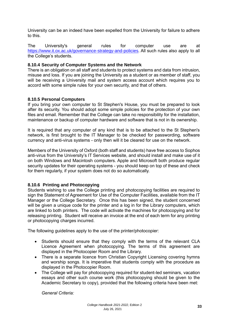University can be an indeed have been expelled from the University for failure to adhere to this.

The University's general rules for computer use are at [https://www.it.ox.ac.uk/governance-strategy-and-policies.](https://www.it.ox.ac.uk/governance-strategy-and-policies) All such rules also apply to all the College's students.

#### <span id="page-36-0"></span>**8.10.4 Security of Computer Systems and the Network**

There is an obligation on all staff and students to protect systems and data from intrusion, misuse and loss. If you are joining the University as a student or as member of staff, you will be receiving a University mail and system access account which requires you to accord with some simple rules for your own security, and that of others.

#### <span id="page-36-1"></span>**8.10.5 Personal Computers**

If you bring your own computer to St Stephen's House, you must be prepared to look after its security. You should adopt some simple policies for the protection of your own files and email. Remember that the College can take no responsibility for the installation, maintenance or backup of computer hardware and software that is not in its ownership.

It is required that any computer of any kind that is to be attached to the St Stephen's network, is first brought to the IT Manager to be checked for passwording, software currency and anti-virus systems - only then will it be cleared for use on the network.

Members of the University of Oxford (both staff and students) have free access to Sophos anti-virus from the University's IT Services website, and should install and make use of it on both Windows and Macintosh computers. Apple and Microsoft both produce regular security updates for their operating systems - you should keep on top of these and check for them regularly, if your system does not do so automatically.

## <span id="page-36-2"></span>**8.10.6 Printing and Photocopying**

Students wishing to use the College printing and photocopying facilities are required to sign the Statement of Agreement for Use of the Computer Facilities, available from the IT Manager or the College Secretary. Once this has been signed, the student concerned will be given a unique code for the printer and a log in for the Library computers, which are linked to both printers. The code will activate the machines for photocopying and for releasing printing. Student will receive an invoice at the end of each term for any printing or photocopying charges incurred.

The following guidelines apply to the use of the printer/photocopier:

- Students should ensure that they comply with the terms of the relevant CLA Licence Agreement when photocopying. The terms of this agreement are displayed in the Photocopier Room and the Library.
- There is a separate licence from Christian Copyright Licensing covering hymns and worship songs. It is imperative that students comply with the procedure as displayed in the Photocopier Room.
- The College will pay for photocopying required for student-led seminars, vacation essays and other such course work (this photocopying should be given to the Academic Secretary to copy), provided that the following criteria have been met:

*General Criteria:*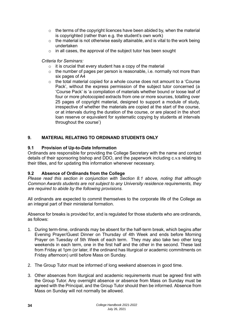- $\circ$  the terms of the copyright licences have been abided by, when the material is copyrighted (rather than e.g. the student's own work)
- o the material is not otherwise easily attainable, and is vital to the work being undertaken
- o in all cases, the approval of the subject tutor has been sought

## *Criteria for Seminars:*

- $\circ$  it is crucial that every student has a copy of the material
- $\circ$  the number of pages per person is reasonable, i.e. normally not more than six pages of A4
- $\circ$  the total material copied for a whole course does not amount to a 'Course' Pack', without the express permission of the subject tutor concerned (a 'Course Pack' is 'a compilation of materials whether bound or loose leaf of four or more photocopied extracts from one or more sources, totalling over 25 pages of copyright material, designed to support a module of study, irrespective of whether the materials are copied at the start of the course, or at intervals during the duration of the course, or are placed in the short loan reserve or equivalent for systematic copying by students at intervals throughout the course')

# <span id="page-37-0"></span>**9. MATERIAL RELATING TO ORDINAND STUDENTS ONLY**

## <span id="page-37-1"></span>**9.1 Provision of Up-to-Date Information**

Ordinands are responsible for providing the College Secretary with the name and contact details of their sponsoring bishop and DDO, and the paperwork including c.v.s relating to their titles, and for updating this information whenever necessary.

## <span id="page-37-2"></span>**9.2 Absence of Ordinands from the College**

*Please read this section in conjunction with Section 8.1 above, noting that although Common Awards students are not subject to any University residence requirements, they are required to abide by the following provisions.*

All ordinands are expected to commit themselves to the corporate life of the College as an integral part of their ministerial formation.

Absence for breaks is provided for, and is regulated for those students who are ordinands, as follows:

- 1. During term-time, ordinands may be absent for the half-term break, which begins after Evening Prayer/Guest Dinner on Thursday of 4th Week and ends before Morning Prayer on Tuesday of 5th Week of each term. They may also take two other long weekends in each term, one in the first half and the other in the second. These last from Friday at 1pm (or later, if the ordinand has liturgical or academic commitments on Friday afternoon) until before Mass on Sunday.
- 2. The Group Tutor must be informed of long weekend absences in good time.
- 3. Other absences from liturgical and academic requirements must be agreed first with the Group Tutor. Any overnight absence or absence from Mass on Sunday must be agreed with the Principal, and the Group Tutor should then be informed. Absence from Mass on Sunday will not normally be allowed.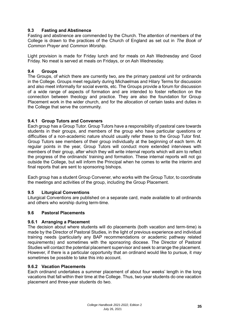## <span id="page-38-0"></span>**9.3 Fasting and Abstinence**

Fasting and abstinence are commended by the Church. The attention of members of the College is drawn to the practices of the Church of England as set out in *The Book of Common Prayer* and *Common Worship*.

Light provision is made for Friday lunch and for meals on Ash Wednesday and Good Friday. No meat is served at meals on Fridays, or on Ash Wednesday.

#### <span id="page-38-1"></span>**9.4 Groups**

The Groups, of which there are currently two, are the primary pastoral unit for ordinands in the College. Groups meet regularly during Michaelmas and Hilary Terms for discussion and also meet informally for social events, etc. The Groups provide a forum for discussion of a wide range of aspects of formation and are intended to foster reflection on the connection between theology and practice. They are also the foundation for Group Placement work in the wider church, and for the allocation of certain tasks and duties in the College that serve the community.

## <span id="page-38-2"></span>**9.4.1 Group Tutors and Conveners**

Each group has a Group Tutor. Group Tutors have a responsibility of pastoral care towards students in their groups, and members of the group who have particular questions or difficulties of a non-academic nature should usually refer these to the Group Tutor first. Group Tutors see members of their group individually at the beginning of each term. At regular points in the year, Group Tutors will conduct more extended interviews with members of their group, after which they will write internal reports which will aim to reflect the progress of the ordinands' training and formation. These internal reports will not go outside the College, but will inform the Principal when he comes to write the interim and final reports that are sent to sponsoring bishops.

Each group has a student Group Convener, who works with the Group Tutor, to coordinate the meetings and activities of the group, including the Group Placement.

#### <span id="page-38-3"></span>**9.5 Liturgical Conventions**

Liturgical Conventions are published on a separate card, made available to all ordinands and others who worship during term-time.

#### <span id="page-38-4"></span>**9.6 Pastoral Placements**

#### <span id="page-38-5"></span>**9.6.1 Arranging a Placement**

The decision about where students will do placements (both vacation and term-time) is made by the Director of Pastoral Studies, in the light of previous experience and individual training needs (particularly any BAP recommendations or academic pathway related requirements) and sometimes with the sponsoring diocese. The Director of Pastoral Studies will contact the potential placement supervisor and seek to arrange the placement. However, if there is a particular opportunity that an ordinand would like to pursue, it *may* sometimes be possible to take this into account.

## <span id="page-38-6"></span>**9.6.2 Vacation Placements**

Each ordinand undertakes a summer placement of about four weeks' length in the long vacations that fall within their time at the College. Thus, two-year students do one vacation placement and three-year students do two.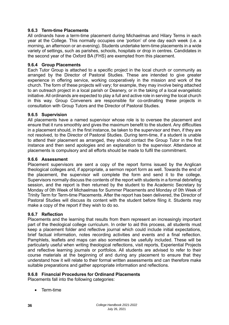## <span id="page-39-0"></span>**9.6.3 Term-time Placements**

All ordinands have a term-time placement during Michaelmas and Hilary Terms in each year at the College. This normally occupies one 'portion' of one day each week (i.e. a morning, an afternoon or an evening). Students undertake term-time placements in a wide variety of settings, such as parishes, schools, hospitals or drop in centres. Candidates in the second year of the Oxford BA (FHS) are exempted from this placement.

## <span id="page-39-1"></span>**9.6.4 Group Placements**

Each Tutor Group is attached to a specific project in the local church or community as arranged by the Director of Pastoral Studies. These are intended to give greater experience in offering service, working cooperatively in the mission and work of the church. The form of these projects will vary; for example, they may involve being attached to an outreach project in a local parish or Deanery, or in the taking of a local evangelistic initiative. All ordinands are expected to play a full and active role in serving the local church in this way. Group Conveners are responsible for co-ordinating these projects in consultation with Group Tutors and the Director of Pastoral Studies.

#### <span id="page-39-2"></span>**9.6.5 Supervision**

All placements have a named supervisor whose role is to oversee the placement and ensure that it runs smoothly and gives the maximum benefit to the student. Any difficulties in a placement should, in the first instance, be taken to the supervisor and then, if they are not resolved, to the Director of Pastoral Studies. During term-time, if a student is unable to attend their placement as arranged, they should contact the Group Tutor in the first instance and then send apologies and an explanation to the supervisor. Attendance at placements is compulsory and all efforts should be made to fulfil the commitment.

#### <span id="page-39-3"></span>**9.6.6 Assessment**

Placement supervisors are sent a copy of the report forms issued by the Anglican theological colleges and, if appropriate, a sermon report form as well. Towards the end of the placement, the supervisor will complete the form and send it to the college. Supervisors normally discuss the contents of the report with students in a formal debriefing session, and the report is then returned by the student to the Academic Secretary by Monday of 0th Week of Michaelmas for Summer Placements and Monday of 0th Week of Trinity Term for Term-time Placements. After the report has been delivered, the Director of Pastoral Studies will discuss its content with the student before filing it. Students may make a copy of the report if they wish to do so.

#### <span id="page-39-4"></span>**9.6.7 Reflection**

Placements and the learning that results from them represent an increasingly important part of the theological college curriculum. In order to aid this process, all students must keep a placement folder and reflective journal which could include initial expectations, brief factual information, notes recording activities and events and a final reflection. Pamphlets, leaflets and maps can also sometimes be usefully included. These will be particularly useful when writing theological reflections, visit reports, Experiential Projects and reflective learning journals or portfolios. All students are advised to refer to their course materials at the beginning of and during any placement to ensure that they understand how it will relate to their formal written assessments and can therefore make suitable preparations and gather appropriate information and reflections.

## <span id="page-39-5"></span>**9.6.8 Financial Procedures for Ordinand Placements**

Placements fall into the following categories:

• Term-time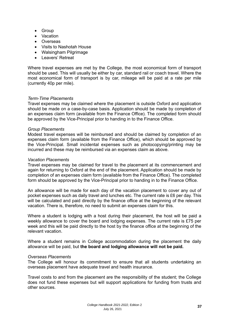- Group
- Vacation
- Overseas
- Visits to Nashotah House
- Walsingham Pilgrimage
- Leavers' Retreat

Where travel expenses are met by the College, the most economical form of transport should be used. This will usually be either by car, standard rail or coach travel. Where the most economical form of transport is by car, mileage will be paid at a rate per mile (currently 40p per mile).

#### *Term-Time Placements*

Travel expenses may be claimed where the placement is outside Oxford and application should be made on a case-by-case basis. Application should be made by completion of an expenses claim form (available from the Finance Office). The completed form should be approved by the Vice-Principal prior to handing in to the Finance Office.

#### *Group Placements*

Modest travel expenses will be reimbursed and should be claimed by completion of an expenses claim form (available from the Finance Office), which should be approved by the Vice-Principal. Small incidental expenses such as photocopying/printing may be incurred and these may be reimbursed via an expenses claim as above.

#### *Vacation Placements*

Travel expenses may be claimed for travel to the placement at its commencement and again for returning to Oxford at the end of the placement. Application should be made by completion of an expenses claim form (available from the Finance Office). The completed form should be approved by the Vice-Principal prior to handing in to the Finance Office.

An allowance will be made for each day of the vacation placement to cover any out of pocket expenses such as daily travel and lunches etc. The current rate is £6 per day. This will be calculated and paid directly by the finance office at the beginning of the relevant vacation. There is, therefore, no need to submit an expenses claim for this.

Where a student is lodging with a host during their placement, the host will be paid a weekly allowance to cover the board and lodging expenses. The current rate is £75 per week and this will be paid directly to the host by the finance office at the beginning of the relevant vacation.

Where a student remains in College accommodation during the placement the daily allowance will be paid, but **the board and lodging allowance will not be paid.**

#### *Overseas Placements*

The College will honour its commitment to ensure that all students undertaking an overseas placement have adequate travel and health insurance.

Travel costs to and from the placement are the responsibility of the student; the College does not fund these expenses but will support applications for funding from trusts and other sources.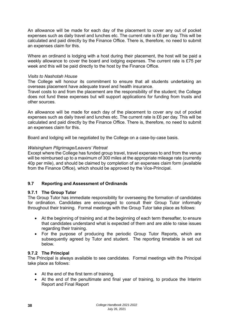An allowance will be made for each day of the placement to cover any out of pocket expenses such as daily travel and lunches etc. The current rate is £6 per day. This will be calculated and paid directly by the Finance Office. There is, therefore, no need to submit an expenses claim for this.

Where an ordinand is lodging with a host during their placement, the host will be paid a weekly allowance to cover the board and lodging expenses. The current rate is £75 per week and this will be paid directly to the host by the Finance Office.

#### *Visits to Nashotah House*

The College will honour its commitment to ensure that all students undertaking an overseas placement have adequate travel and health insurance.

Travel costs to and from the placement are the responsibility of the student; the College does not fund these expenses but will support applications for funding from trusts and other sources.

An allowance will be made for each day of the placement to cover any out of pocket expenses such as daily travel and lunches etc. The current rate is £6 per day. This will be calculated and paid directly by the Finance Office. There is, therefore, no need to submit an expenses claim for this.

Board and lodging will be negotiated by the College on a case-by-case basis.

#### *Walsingham Pilgrimage/Leavers' Retreat*

Except where the College has funded group travel, travel expenses to and from the venue will be reimbursed up to a maximum of 300 miles at the appropriate mileage rate (currently 40p per mile), and should be claimed by completion of an expenses claim form (available from the Finance Office), which should be approved by the Vice-Principal.

## <span id="page-41-0"></span>**9.7 Reporting and Assessment of Ordinands**

## <span id="page-41-1"></span>**9.7.1 The Group Tutor**

The Group Tutor has immediate responsibility for overseeing the formation of candidates for ordination. Candidates are encouraged to consult their Group Tutor informally throughout their training. Formal meetings with the Group Tutor take place as follows:

- At the beginning of training and at the beginning of each term thereafter, to ensure that candidates understand what is expected of them and are able to raise issues regarding their training.
- For the purpose of producing the periodic Group Tutor Reports, which are subsequently agreed by Tutor and student. The reporting timetable is set out below.

## <span id="page-41-2"></span>**9.7.2 The Principal**

The Principal is always available to see candidates. Formal meetings with the Principal take place as follows:

- At the end of the first term of training.
- At the end of the penultimate and final year of training, to produce the Interim Report and Final Report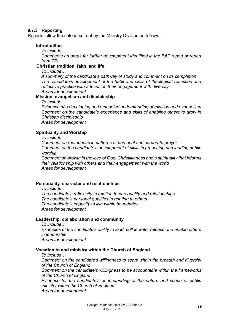#### <span id="page-42-0"></span>**9.7.3 Reporting**

Reports follow the criteria set out by the Ministry Division as follows:

#### **Introduction**

*To include…*

*Comments on areas for further development identified in the BAP report or report from TEI* 

#### **Christian tradition, faith, and life**

*To include…*

*A summary of the candidate's pathway of study and comment on its completion The candidate's development of the habit and skills of theological reflection and reflective practice with a focus on their engagement with diversity Areas for development*

#### **Mission, evangelism and discipleship**

*To include…*

*Evidence of a developing and embodied understanding of mission and evangelism Comment on the candidate's experience and skills of enabling others to grow in Christian discipleship*

*Areas for development*

#### **Spirituality and Worship**

*To include…*

*Comment on rootedness in patterns of personal and corporate prayer Comment on the candidate's development of skills in preaching and leading public worship*

*Comment on growth in the love of God, Christlikeness and a spirituality that informs their relationship with others and their engagement with the world Areas for development*

#### **Personality, character and relationships**

*To include…*

*The candidate's reflexivity in relation to personality and relationships The candidate's personal qualities in relating to others The candidate's capacity to live within boundaries Areas for development*

#### **Leadership, collaboration and community**

*To include… Examples of the candidate's ability to lead, collaborate, release and enable others in leadership Areas for development*

#### **Vocation to and ministry within the Church of England**

*To include…*

*Comment on the candidate's willingness to serve within the breadth and diversity of the Church of England* 

*Comment on the candidate's willingness to be accountable within the frameworks of the Church of England*

*Evidence for the candidate's understanding of the nature and scope of public ministry within the Church of England Areas for development*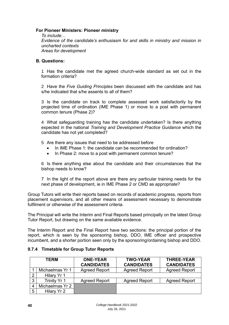#### **For Pioneer Ministers: Pioneer ministry**

*To include*… *Evidence of the candidate's enthusiasm for and skills in ministry and mission in uncharted contexts Areas for development*

#### **B. Questions:**

1 Has the candidate met the agreed church-wide standard as set out in the formation criteria?

2 Have the *Five Guiding Principles* been discussed with the candidate and has s/he indicated that s/he assents to all of them?

3 Is the candidate on track to complete assessed work satisfactorily by the projected time of ordination (IME Phase 1) or move to a post with permanent common tenure (Phase 2)?

4 What safeguarding training has the candidate undertaken? Is there anything expected in the national *Training and Development Practice Guidance* which the candidate has not yet completed?

5 Are there any issues that need to be addressed before

- In IME Phase 1: the candidate can be recommended for ordination?
- In Phase 2: move to a post with permanent common tenure?

6 Is there anything else about the candidate and their circumstances that the bishop needs to know?

7 In the light of the report above are there any particular training needs for the next phase of development, ie in IME Phase 2 or CMD as appropriate?

Group Tutors will write their reports based on records of academic progress, reports from placement supervisors, and all other means of assessment necessary to demonstrate fulfilment or otherwise of the assessment criteria.

The Principal will write the Interim and Final Reports based principally on the latest Group Tutor Report, but drawing on the same available evidence.

The Interim Report and the Final Report have two sections: the principal portion of the report, which is seen by the sponsoring bishop, DDO, IME officer and prospective incumbent, and a shorter portion seen only by the sponsoring/ordaining bishop and DDO.

#### <span id="page-43-0"></span>**9.7.4 Timetable for Group Tutor Reports**

| TERM |                 | <b>TWO-YEAR</b><br><b>ONE-YEAR</b><br><b>CANDIDATES</b><br><b>CANDIDATES</b> |                      | <b>THREE-YEAR</b><br><b>CANDIDATES</b> |
|------|-----------------|------------------------------------------------------------------------------|----------------------|----------------------------------------|
|      | Michaelmas Yr 1 | <b>Agreed Report</b>                                                         | <b>Agreed Report</b> | <b>Agreed Report</b>                   |
|      | Hilary Yr 1     |                                                                              |                      |                                        |
| ≏    | Trinity Yr 1    | <b>Agreed Report</b>                                                         | <b>Agreed Report</b> | <b>Agreed Report</b>                   |
|      | Michaelmas Yr 2 |                                                                              |                      |                                        |
| 5    | Hilary Yr 2     |                                                                              |                      |                                        |